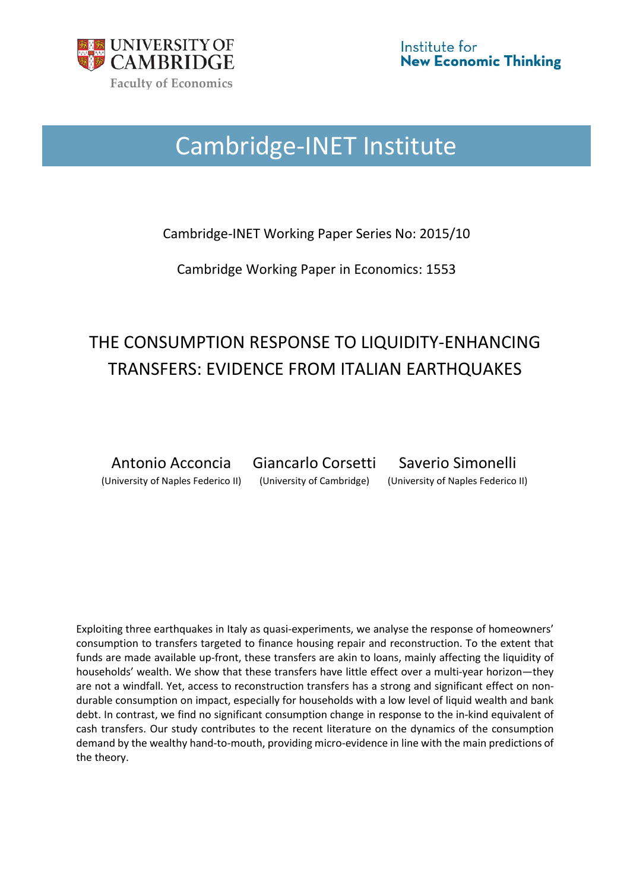

# Cambridge-INET Institute

Cambridge-INET Working Paper Series No: 2015/10

Cambridge Working Paper in Economics: 1553

## THE CONSUMPTION RESPONSE TO LIQUIDITY-ENHANCING TRANSFERS: EVIDENCE FROM ITALIAN EARTHQUAKES

Antonio Acconcia Giancarlo Corsetti Saverio Simonelli (University of Naples Federico II) (University of Cambridge) (University of Naples Federico II)

Exploiting three earthquakes in Italy as quasi-experiments, we analyse the response of homeowners' consumption to transfers targeted to finance housing repair and reconstruction. To the extent that funds are made available up-front, these transfers are akin to loans, mainly affecting the liquidity of households' wealth. We show that these transfers have little effect over a multi-year horizon—they are not a windfall. Yet, access to reconstruction transfers has a strong and significant effect on nondurable consumption on impact, especially for households with a low level of liquid wealth and bank debt. In contrast, we find no significant consumption change in response to the in-kind equivalent of cash transfers. Our study contributes to the recent literature on the dynamics of the consumption demand by the wealthy hand-to-mouth, providing micro-evidence in line with the main predictions of the theory.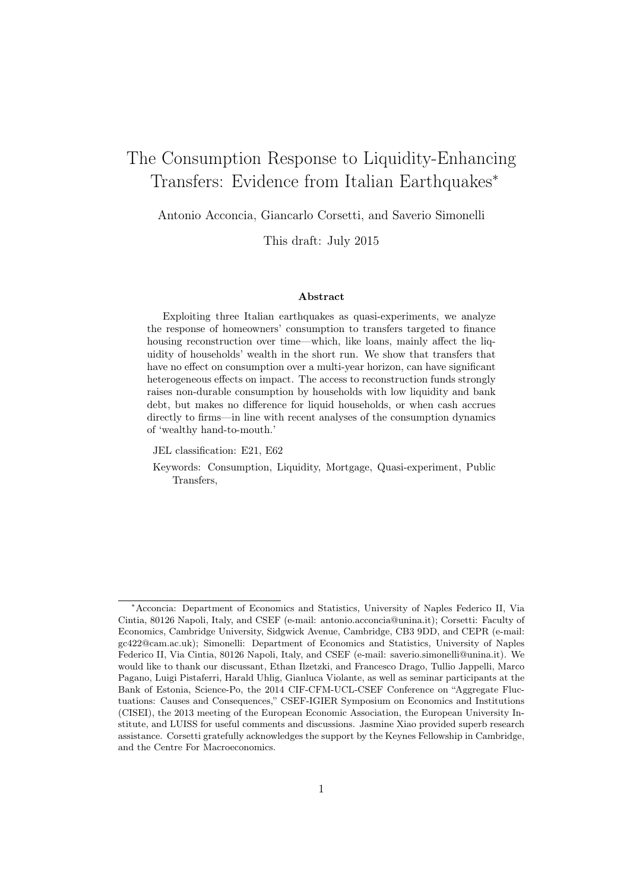## The Consumption Response to Liquidity-Enhancing Transfers: Evidence from Italian Earthquakes<sup>∗</sup>

Antonio Acconcia, Giancarlo Corsetti, and Saverio Simonelli

This draft: July 2015

#### Abstract

Exploiting three Italian earthquakes as quasi-experiments, we analyze the response of homeowners' consumption to transfers targeted to finance housing reconstruction over time—which, like loans, mainly affect the liquidity of households' wealth in the short run. We show that transfers that have no effect on consumption over a multi-year horizon, can have significant heterogeneous effects on impact. The access to reconstruction funds strongly raises non-durable consumption by households with low liquidity and bank debt, but makes no difference for liquid households, or when cash accrues directly to firms—in line with recent analyses of the consumption dynamics of 'wealthy hand-to-mouth.'

JEL classification: E21, E62

Keywords: Consumption, Liquidity, Mortgage, Quasi-experiment, Public Transfers,

<sup>∗</sup>Acconcia: Department of Economics and Statistics, University of Naples Federico II, Via Cintia, 80126 Napoli, Italy, and CSEF (e-mail: antonio.acconcia@unina.it); Corsetti: Faculty of Economics, Cambridge University, Sidgwick Avenue, Cambridge, CB3 9DD, and CEPR (e-mail: gc422@cam.ac.uk); Simonelli: Department of Economics and Statistics, University of Naples Federico II, Via Cintia, 80126 Napoli, Italy, and CSEF (e-mail: saverio.simonelli@unina.it). We would like to thank our discussant, Ethan Ilzetzki, and Francesco Drago, Tullio Jappelli, Marco Pagano, Luigi Pistaferri, Harald Uhlig, Gianluca Violante, as well as seminar participants at the Bank of Estonia, Science-Po, the 2014 CIF-CFM-UCL-CSEF Conference on "Aggregate Fluctuations: Causes and Consequences," CSEF-IGIER Symposium on Economics and Institutions (CISEI), the 2013 meeting of the European Economic Association, the European University Institute, and LUISS for useful comments and discussions. Jasmine Xiao provided superb research assistance. Corsetti gratefully acknowledges the support by the Keynes Fellowship in Cambridge, and the Centre For Macroeconomics.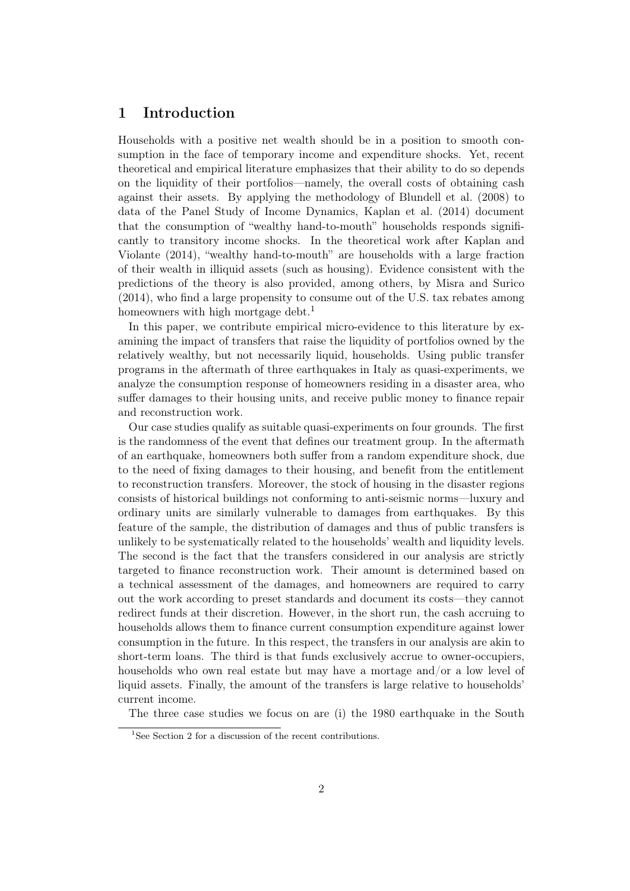## 1 Introduction

Households with a positive net wealth should be in a position to smooth consumption in the face of temporary income and expenditure shocks. Yet, recent theoretical and empirical literature emphasizes that their ability to do so depends on the liquidity of their portfolios—namely, the overall costs of obtaining cash against their assets. By applying the methodology of Blundell et al. (2008) to data of the Panel Study of Income Dynamics, Kaplan et al. (2014) document that the consumption of "wealthy hand-to-mouth" households responds significantly to transitory income shocks. In the theoretical work after Kaplan and Violante (2014), "wealthy hand-to-mouth" are households with a large fraction of their wealth in illiquid assets (such as housing). Evidence consistent with the predictions of the theory is also provided, among others, by Misra and Surico (2014), who find a large propensity to consume out of the U.S. tax rebates among homeowners with high mortgage debt.<sup>1</sup>

In this paper, we contribute empirical micro-evidence to this literature by examining the impact of transfers that raise the liquidity of portfolios owned by the relatively wealthy, but not necessarily liquid, households. Using public transfer programs in the aftermath of three earthquakes in Italy as quasi-experiments, we analyze the consumption response of homeowners residing in a disaster area, who suffer damages to their housing units, and receive public money to finance repair and reconstruction work.

Our case studies qualify as suitable quasi-experiments on four grounds. The first is the randomness of the event that defines our treatment group. In the aftermath of an earthquake, homeowners both suffer from a random expenditure shock, due to the need of fixing damages to their housing, and benefit from the entitlement to reconstruction transfers. Moreover, the stock of housing in the disaster regions consists of historical buildings not conforming to anti-seismic norms—luxury and ordinary units are similarly vulnerable to damages from earthquakes. By this feature of the sample, the distribution of damages and thus of public transfers is unlikely to be systematically related to the households' wealth and liquidity levels. The second is the fact that the transfers considered in our analysis are strictly targeted to finance reconstruction work. Their amount is determined based on a technical assessment of the damages, and homeowners are required to carry out the work according to preset standards and document its costs—they cannot redirect funds at their discretion. However, in the short run, the cash accruing to households allows them to finance current consumption expenditure against lower consumption in the future. In this respect, the transfers in our analysis are akin to short-term loans. The third is that funds exclusively accrue to owner-occupiers, households who own real estate but may have a mortage and/or a low level of liquid assets. Finally, the amount of the transfers is large relative to households' current income.

The three case studies we focus on are (i) the 1980 earthquake in the South

<sup>&</sup>lt;sup>1</sup>See Section 2 for a discussion of the recent contributions.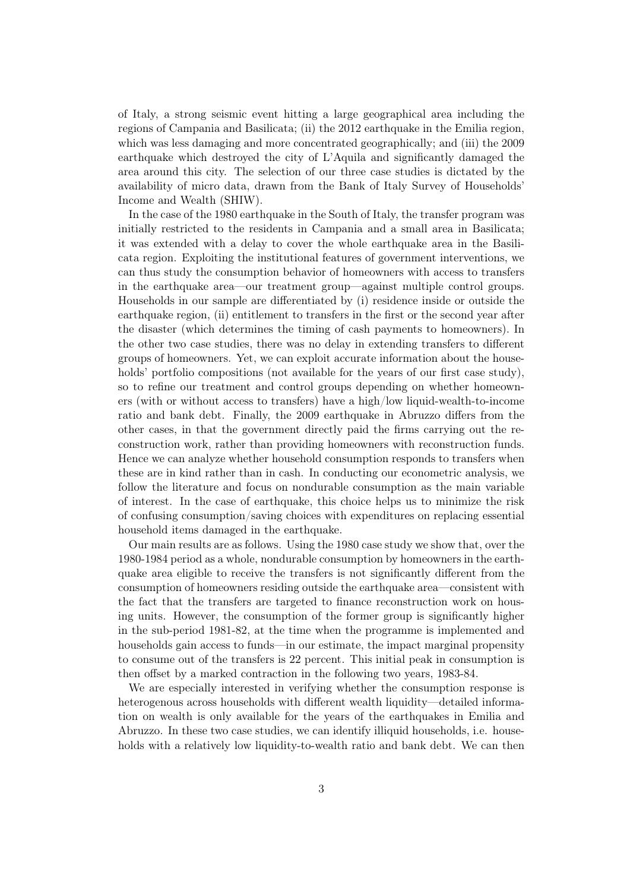of Italy, a strong seismic event hitting a large geographical area including the regions of Campania and Basilicata; (ii) the 2012 earthquake in the Emilia region, which was less damaging and more concentrated geographically; and (iii) the 2009 earthquake which destroyed the city of L'Aquila and significantly damaged the area around this city. The selection of our three case studies is dictated by the availability of micro data, drawn from the Bank of Italy Survey of Households' Income and Wealth (SHIW).

In the case of the 1980 earthquake in the South of Italy, the transfer program was initially restricted to the residents in Campania and a small area in Basilicata; it was extended with a delay to cover the whole earthquake area in the Basilicata region. Exploiting the institutional features of government interventions, we can thus study the consumption behavior of homeowners with access to transfers in the earthquake area—our treatment group—against multiple control groups. Households in our sample are differentiated by (i) residence inside or outside the earthquake region, (ii) entitlement to transfers in the first or the second year after the disaster (which determines the timing of cash payments to homeowners). In the other two case studies, there was no delay in extending transfers to different groups of homeowners. Yet, we can exploit accurate information about the households' portfolio compositions (not available for the years of our first case study), so to refine our treatment and control groups depending on whether homeowners (with or without access to transfers) have a high/low liquid-wealth-to-income ratio and bank debt. Finally, the 2009 earthquake in Abruzzo differs from the other cases, in that the government directly paid the firms carrying out the reconstruction work, rather than providing homeowners with reconstruction funds. Hence we can analyze whether household consumption responds to transfers when these are in kind rather than in cash. In conducting our econometric analysis, we follow the literature and focus on nondurable consumption as the main variable of interest. In the case of earthquake, this choice helps us to minimize the risk of confusing consumption/saving choices with expenditures on replacing essential household items damaged in the earthquake.

Our main results are as follows. Using the 1980 case study we show that, over the 1980-1984 period as a whole, nondurable consumption by homeowners in the earthquake area eligible to receive the transfers is not significantly different from the consumption of homeowners residing outside the earthquake area—consistent with the fact that the transfers are targeted to finance reconstruction work on housing units. However, the consumption of the former group is significantly higher in the sub-period 1981-82, at the time when the programme is implemented and households gain access to funds—in our estimate, the impact marginal propensity to consume out of the transfers is 22 percent. This initial peak in consumption is then offset by a marked contraction in the following two years, 1983-84.

We are especially interested in verifying whether the consumption response is heterogenous across households with different wealth liquidity—detailed information on wealth is only available for the years of the earthquakes in Emilia and Abruzzo. In these two case studies, we can identify illiquid households, i.e. households with a relatively low liquidity-to-wealth ratio and bank debt. We can then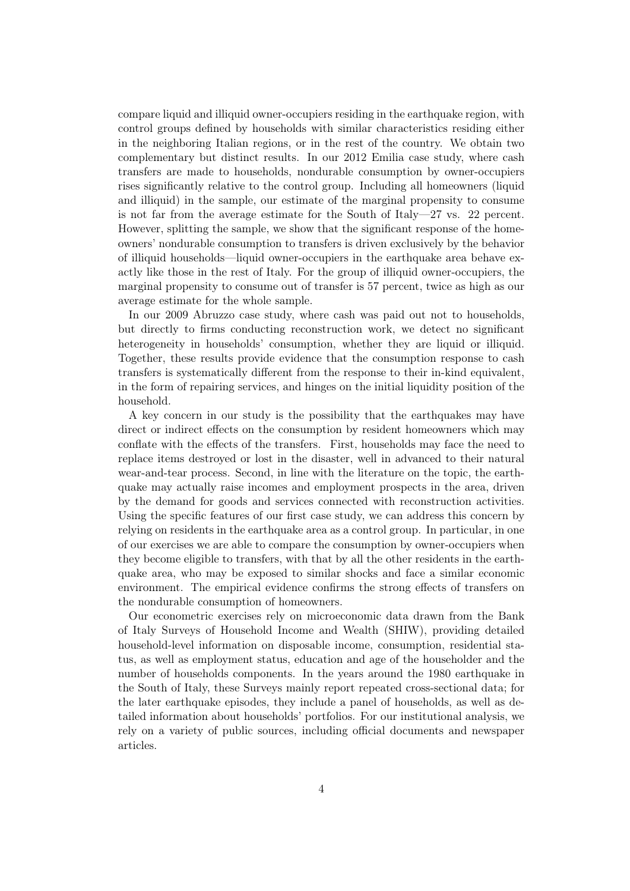compare liquid and illiquid owner-occupiers residing in the earthquake region, with control groups defined by households with similar characteristics residing either in the neighboring Italian regions, or in the rest of the country. We obtain two complementary but distinct results. In our 2012 Emilia case study, where cash transfers are made to households, nondurable consumption by owner-occupiers rises significantly relative to the control group. Including all homeowners (liquid and illiquid) in the sample, our estimate of the marginal propensity to consume is not far from the average estimate for the South of Italy—27 vs. 22 percent. However, splitting the sample, we show that the significant response of the homeowners' nondurable consumption to transfers is driven exclusively by the behavior of illiquid households—liquid owner-occupiers in the earthquake area behave exactly like those in the rest of Italy. For the group of illiquid owner-occupiers, the marginal propensity to consume out of transfer is 57 percent, twice as high as our average estimate for the whole sample.

In our 2009 Abruzzo case study, where cash was paid out not to households, but directly to firms conducting reconstruction work, we detect no significant heterogeneity in households' consumption, whether they are liquid or illiquid. Together, these results provide evidence that the consumption response to cash transfers is systematically different from the response to their in-kind equivalent, in the form of repairing services, and hinges on the initial liquidity position of the household.

A key concern in our study is the possibility that the earthquakes may have direct or indirect effects on the consumption by resident homeowners which may conflate with the effects of the transfers. First, households may face the need to replace items destroyed or lost in the disaster, well in advanced to their natural wear-and-tear process. Second, in line with the literature on the topic, the earthquake may actually raise incomes and employment prospects in the area, driven by the demand for goods and services connected with reconstruction activities. Using the specific features of our first case study, we can address this concern by relying on residents in the earthquake area as a control group. In particular, in one of our exercises we are able to compare the consumption by owner-occupiers when they become eligible to transfers, with that by all the other residents in the earthquake area, who may be exposed to similar shocks and face a similar economic environment. The empirical evidence confirms the strong effects of transfers on the nondurable consumption of homeowners.

Our econometric exercises rely on microeconomic data drawn from the Bank of Italy Surveys of Household Income and Wealth (SHIW), providing detailed household-level information on disposable income, consumption, residential status, as well as employment status, education and age of the householder and the number of households components. In the years around the 1980 earthquake in the South of Italy, these Surveys mainly report repeated cross-sectional data; for the later earthquake episodes, they include a panel of households, as well as detailed information about households' portfolios. For our institutional analysis, we rely on a variety of public sources, including official documents and newspaper articles.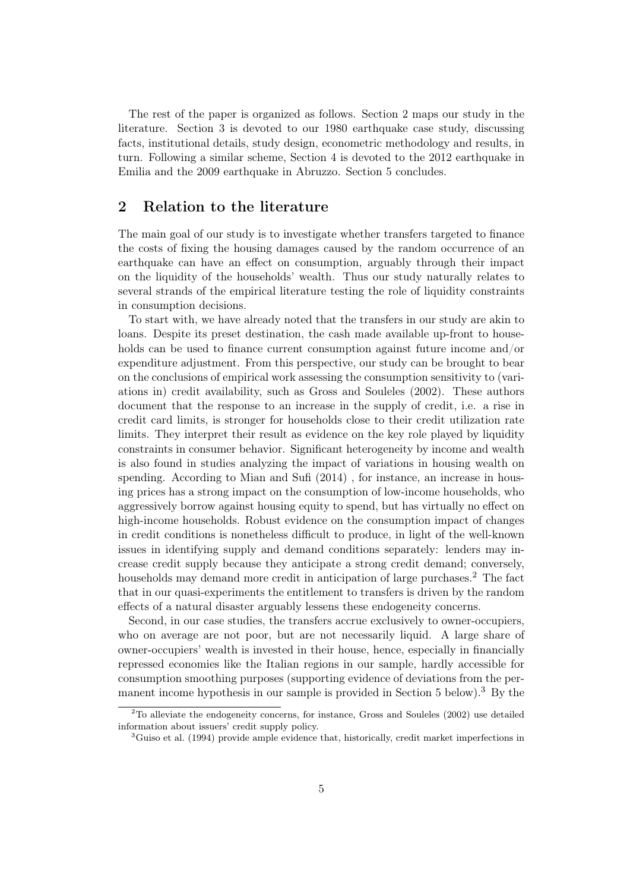The rest of the paper is organized as follows. Section 2 maps our study in the literature. Section 3 is devoted to our 1980 earthquake case study, discussing facts, institutional details, study design, econometric methodology and results, in turn. Following a similar scheme, Section 4 is devoted to the 2012 earthquake in Emilia and the 2009 earthquake in Abruzzo. Section 5 concludes.

## 2 Relation to the literature

The main goal of our study is to investigate whether transfers targeted to finance the costs of fixing the housing damages caused by the random occurrence of an earthquake can have an effect on consumption, arguably through their impact on the liquidity of the households' wealth. Thus our study naturally relates to several strands of the empirical literature testing the role of liquidity constraints in consumption decisions.

To start with, we have already noted that the transfers in our study are akin to loans. Despite its preset destination, the cash made available up-front to households can be used to finance current consumption against future income and/or expenditure adjustment. From this perspective, our study can be brought to bear on the conclusions of empirical work assessing the consumption sensitivity to (variations in) credit availability, such as Gross and Souleles (2002). These authors document that the response to an increase in the supply of credit, i.e. a rise in credit card limits, is stronger for households close to their credit utilization rate limits. They interpret their result as evidence on the key role played by liquidity constraints in consumer behavior. Significant heterogeneity by income and wealth is also found in studies analyzing the impact of variations in housing wealth on spending. According to Mian and Sufi (2014) , for instance, an increase in housing prices has a strong impact on the consumption of low-income households, who aggressively borrow against housing equity to spend, but has virtually no effect on high-income households. Robust evidence on the consumption impact of changes in credit conditions is nonetheless difficult to produce, in light of the well-known issues in identifying supply and demand conditions separately: lenders may increase credit supply because they anticipate a strong credit demand; conversely, households may demand more credit in anticipation of large purchases.<sup>2</sup> The fact that in our quasi-experiments the entitlement to transfers is driven by the random effects of a natural disaster arguably lessens these endogeneity concerns.

Second, in our case studies, the transfers accrue exclusively to owner-occupiers, who on average are not poor, but are not necessarily liquid. A large share of owner-occupiers' wealth is invested in their house, hence, especially in financially repressed economies like the Italian regions in our sample, hardly accessible for consumption smoothing purposes (supporting evidence of deviations from the permanent income hypothesis in our sample is provided in Section  $5$  below).<sup>3</sup> By the

 $2^2$ To alleviate the endogeneity concerns, for instance, Gross and Souleles (2002) use detailed information about issuers' credit supply policy.

<sup>&</sup>lt;sup>3</sup>Guiso et al. (1994) provide ample evidence that, historically, credit market imperfections in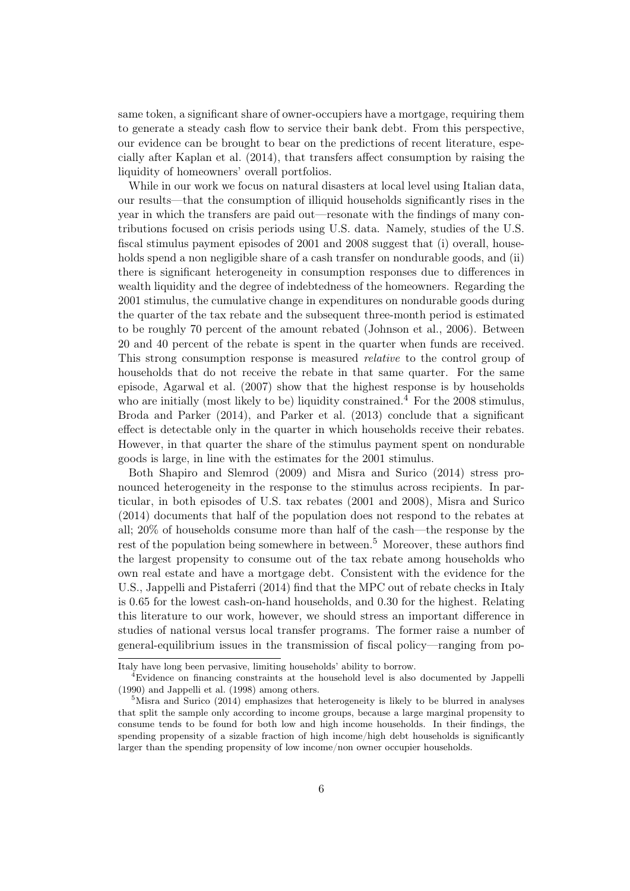same token, a significant share of owner-occupiers have a mortgage, requiring them to generate a steady cash flow to service their bank debt. From this perspective, our evidence can be brought to bear on the predictions of recent literature, especially after Kaplan et al. (2014), that transfers affect consumption by raising the liquidity of homeowners' overall portfolios.

While in our work we focus on natural disasters at local level using Italian data, our results—that the consumption of illiquid households significantly rises in the year in which the transfers are paid out—resonate with the findings of many contributions focused on crisis periods using U.S. data. Namely, studies of the U.S. fiscal stimulus payment episodes of 2001 and 2008 suggest that (i) overall, households spend a non negligible share of a cash transfer on nondurable goods, and (ii) there is significant heterogeneity in consumption responses due to differences in wealth liquidity and the degree of indebtedness of the homeowners. Regarding the 2001 stimulus, the cumulative change in expenditures on nondurable goods during the quarter of the tax rebate and the subsequent three-month period is estimated to be roughly 70 percent of the amount rebated (Johnson et al., 2006). Between 20 and 40 percent of the rebate is spent in the quarter when funds are received. This strong consumption response is measured relative to the control group of households that do not receive the rebate in that same quarter. For the same episode, Agarwal et al. (2007) show that the highest response is by households who are initially (most likely to be) liquidity constrained.<sup>4</sup> For the 2008 stimulus, Broda and Parker (2014), and Parker et al. (2013) conclude that a significant effect is detectable only in the quarter in which households receive their rebates. However, in that quarter the share of the stimulus payment spent on nondurable goods is large, in line with the estimates for the 2001 stimulus.

Both Shapiro and Slemrod (2009) and Misra and Surico (2014) stress pronounced heterogeneity in the response to the stimulus across recipients. In particular, in both episodes of U.S. tax rebates (2001 and 2008), Misra and Surico (2014) documents that half of the population does not respond to the rebates at all; 20% of households consume more than half of the cash—the response by the rest of the population being somewhere in between.<sup>5</sup> Moreover, these authors find the largest propensity to consume out of the tax rebate among households who own real estate and have a mortgage debt. Consistent with the evidence for the U.S., Jappelli and Pistaferri (2014) find that the MPC out of rebate checks in Italy is 0.65 for the lowest cash-on-hand households, and 0.30 for the highest. Relating this literature to our work, however, we should stress an important difference in studies of national versus local transfer programs. The former raise a number of general-equilibrium issues in the transmission of fiscal policy—ranging from po-

Italy have long been pervasive, limiting households' ability to borrow.

<sup>4</sup>Evidence on financing constraints at the household level is also documented by Jappelli (1990) and Jappelli et al. (1998) among others.

<sup>&</sup>lt;sup>5</sup>Misra and Surico (2014) emphasizes that heterogeneity is likely to be blurred in analyses that split the sample only according to income groups, because a large marginal propensity to consume tends to be found for both low and high income households. In their findings, the spending propensity of a sizable fraction of high income/high debt households is significantly larger than the spending propensity of low income/non owner occupier households.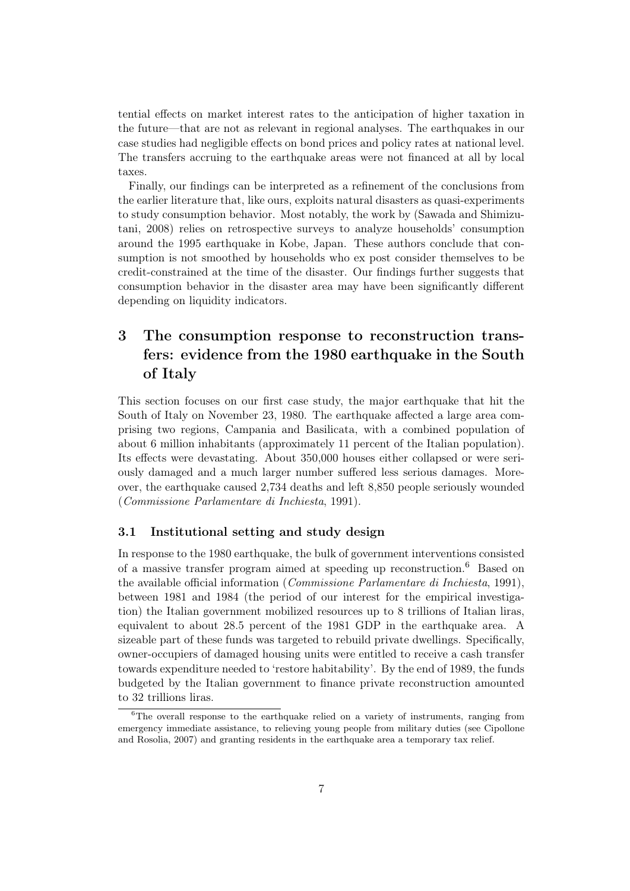tential effects on market interest rates to the anticipation of higher taxation in the future—that are not as relevant in regional analyses. The earthquakes in our case studies had negligible effects on bond prices and policy rates at national level. The transfers accruing to the earthquake areas were not financed at all by local taxes.

Finally, our findings can be interpreted as a refinement of the conclusions from the earlier literature that, like ours, exploits natural disasters as quasi-experiments to study consumption behavior. Most notably, the work by (Sawada and Shimizutani, 2008) relies on retrospective surveys to analyze households' consumption around the 1995 earthquake in Kobe, Japan. These authors conclude that consumption is not smoothed by households who ex post consider themselves to be credit-constrained at the time of the disaster. Our findings further suggests that consumption behavior in the disaster area may have been significantly different depending on liquidity indicators.

## 3 The consumption response to reconstruction transfers: evidence from the 1980 earthquake in the South of Italy

This section focuses on our first case study, the major earthquake that hit the South of Italy on November 23, 1980. The earthquake affected a large area comprising two regions, Campania and Basilicata, with a combined population of about 6 million inhabitants (approximately 11 percent of the Italian population). Its effects were devastating. About 350,000 houses either collapsed or were seriously damaged and a much larger number suffered less serious damages. Moreover, the earthquake caused 2,734 deaths and left 8,850 people seriously wounded (Commissione Parlamentare di Inchiesta, 1991).

#### 3.1 Institutional setting and study design

In response to the 1980 earthquake, the bulk of government interventions consisted of a massive transfer program aimed at speeding up reconstruction.<sup>6</sup> Based on the available official information (Commissione Parlamentare di Inchiesta, 1991), between 1981 and 1984 (the period of our interest for the empirical investigation) the Italian government mobilized resources up to 8 trillions of Italian liras, equivalent to about 28.5 percent of the 1981 GDP in the earthquake area. A sizeable part of these funds was targeted to rebuild private dwellings. Specifically, owner-occupiers of damaged housing units were entitled to receive a cash transfer towards expenditure needed to 'restore habitability'. By the end of 1989, the funds budgeted by the Italian government to finance private reconstruction amounted to 32 trillions liras.

 $6$ The overall response to the earthquake relied on a variety of instruments, ranging from emergency immediate assistance, to relieving young people from military duties (see Cipollone and Rosolia, 2007) and granting residents in the earthquake area a temporary tax relief.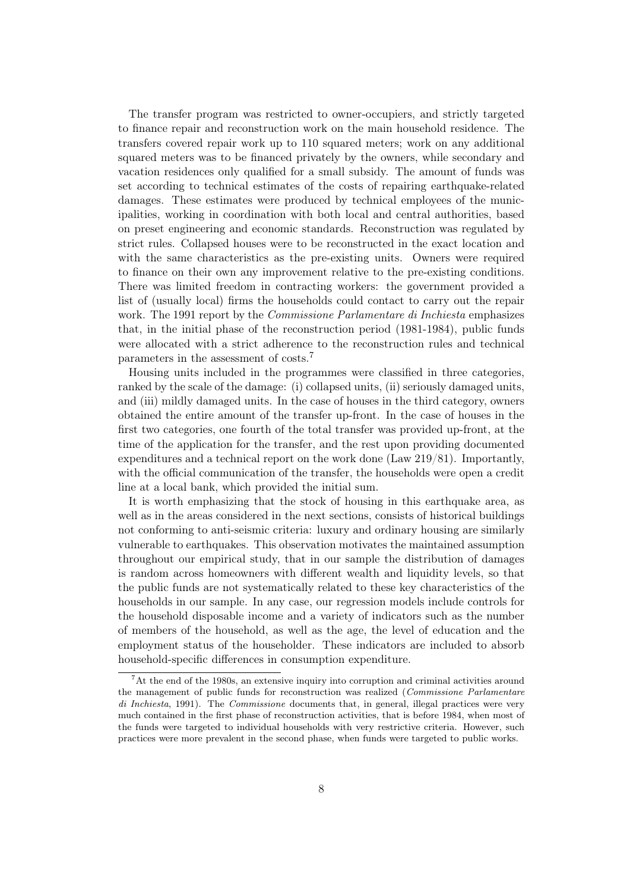The transfer program was restricted to owner-occupiers, and strictly targeted to finance repair and reconstruction work on the main household residence. The transfers covered repair work up to 110 squared meters; work on any additional squared meters was to be financed privately by the owners, while secondary and vacation residences only qualified for a small subsidy. The amount of funds was set according to technical estimates of the costs of repairing earthquake-related damages. These estimates were produced by technical employees of the municipalities, working in coordination with both local and central authorities, based on preset engineering and economic standards. Reconstruction was regulated by strict rules. Collapsed houses were to be reconstructed in the exact location and with the same characteristics as the pre-existing units. Owners were required to finance on their own any improvement relative to the pre-existing conditions. There was limited freedom in contracting workers: the government provided a list of (usually local) firms the households could contact to carry out the repair work. The 1991 report by the *Commissione Parlamentare di Inchiesta* emphasizes that, in the initial phase of the reconstruction period (1981-1984), public funds were allocated with a strict adherence to the reconstruction rules and technical parameters in the assessment of costs.<sup>7</sup>

Housing units included in the programmes were classified in three categories, ranked by the scale of the damage: (i) collapsed units, (ii) seriously damaged units, and (iii) mildly damaged units. In the case of houses in the third category, owners obtained the entire amount of the transfer up-front. In the case of houses in the first two categories, one fourth of the total transfer was provided up-front, at the time of the application for the transfer, and the rest upon providing documented expenditures and a technical report on the work done (Law 219/81). Importantly, with the official communication of the transfer, the households were open a credit line at a local bank, which provided the initial sum.

It is worth emphasizing that the stock of housing in this earthquake area, as well as in the areas considered in the next sections, consists of historical buildings not conforming to anti-seismic criteria: luxury and ordinary housing are similarly vulnerable to earthquakes. This observation motivates the maintained assumption throughout our empirical study, that in our sample the distribution of damages is random across homeowners with different wealth and liquidity levels, so that the public funds are not systematically related to these key characteristics of the households in our sample. In any case, our regression models include controls for the household disposable income and a variety of indicators such as the number of members of the household, as well as the age, the level of education and the employment status of the householder. These indicators are included to absorb household-specific differences in consumption expenditure.

<sup>7</sup>At the end of the 1980s, an extensive inquiry into corruption and criminal activities around the management of public funds for reconstruction was realized (Commissione Parlamentare di Inchiesta, 1991). The *Commissione* documents that, in general, illegal practices were very much contained in the first phase of reconstruction activities, that is before 1984, when most of the funds were targeted to individual households with very restrictive criteria. However, such practices were more prevalent in the second phase, when funds were targeted to public works.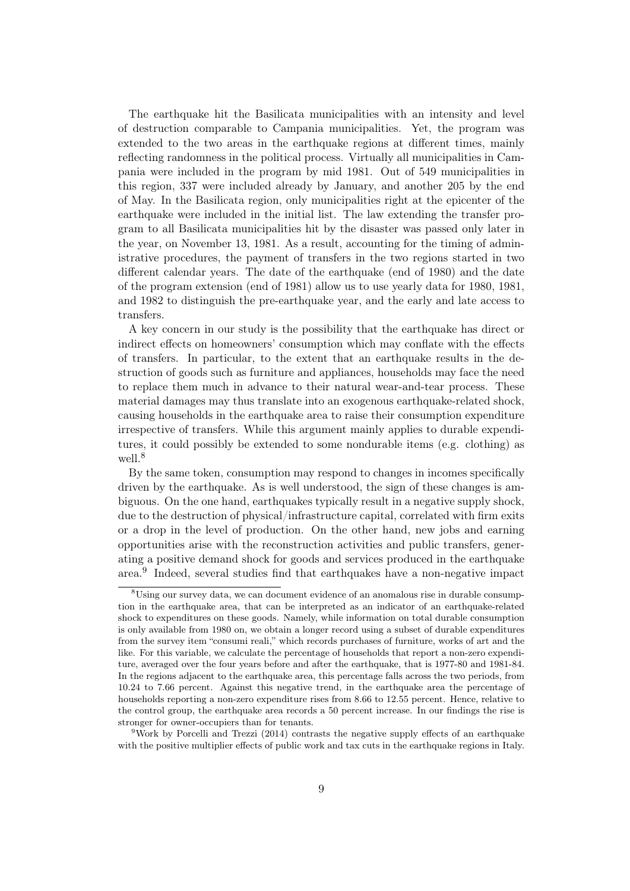The earthquake hit the Basilicata municipalities with an intensity and level of destruction comparable to Campania municipalities. Yet, the program was extended to the two areas in the earthquake regions at different times, mainly reflecting randomness in the political process. Virtually all municipalities in Campania were included in the program by mid 1981. Out of 549 municipalities in this region, 337 were included already by January, and another 205 by the end of May. In the Basilicata region, only municipalities right at the epicenter of the earthquake were included in the initial list. The law extending the transfer program to all Basilicata municipalities hit by the disaster was passed only later in the year, on November 13, 1981. As a result, accounting for the timing of administrative procedures, the payment of transfers in the two regions started in two different calendar years. The date of the earthquake (end of 1980) and the date of the program extension (end of 1981) allow us to use yearly data for 1980, 1981, and 1982 to distinguish the pre-earthquake year, and the early and late access to transfers.

A key concern in our study is the possibility that the earthquake has direct or indirect effects on homeowners' consumption which may conflate with the effects of transfers. In particular, to the extent that an earthquake results in the destruction of goods such as furniture and appliances, households may face the need to replace them much in advance to their natural wear-and-tear process. These material damages may thus translate into an exogenous earthquake-related shock, causing households in the earthquake area to raise their consumption expenditure irrespective of transfers. While this argument mainly applies to durable expenditures, it could possibly be extended to some nondurable items (e.g. clothing) as well.<sup>8</sup>

By the same token, consumption may respond to changes in incomes specifically driven by the earthquake. As is well understood, the sign of these changes is ambiguous. On the one hand, earthquakes typically result in a negative supply shock, due to the destruction of physical/infrastructure capital, correlated with firm exits or a drop in the level of production. On the other hand, new jobs and earning opportunities arise with the reconstruction activities and public transfers, generating a positive demand shock for goods and services produced in the earthquake area.<sup>9</sup> Indeed, several studies find that earthquakes have a non-negative impact

<sup>9</sup>Work by Porcelli and Trezzi (2014) contrasts the negative supply effects of an earthquake with the positive multiplier effects of public work and tax cuts in the earthquake regions in Italy.

<sup>&</sup>lt;sup>8</sup>Using our survey data, we can document evidence of an anomalous rise in durable consumption in the earthquake area, that can be interpreted as an indicator of an earthquake-related shock to expenditures on these goods. Namely, while information on total durable consumption is only available from 1980 on, we obtain a longer record using a subset of durable expenditures from the survey item "consumi reali," which records purchases of furniture, works of art and the like. For this variable, we calculate the percentage of households that report a non-zero expenditure, averaged over the four years before and after the earthquake, that is 1977-80 and 1981-84. In the regions adjacent to the earthquake area, this percentage falls across the two periods, from 10.24 to 7.66 percent. Against this negative trend, in the earthquake area the percentage of households reporting a non-zero expenditure rises from 8.66 to 12.55 percent. Hence, relative to the control group, the earthquake area records a 50 percent increase. In our findings the rise is stronger for owner-occupiers than for tenants.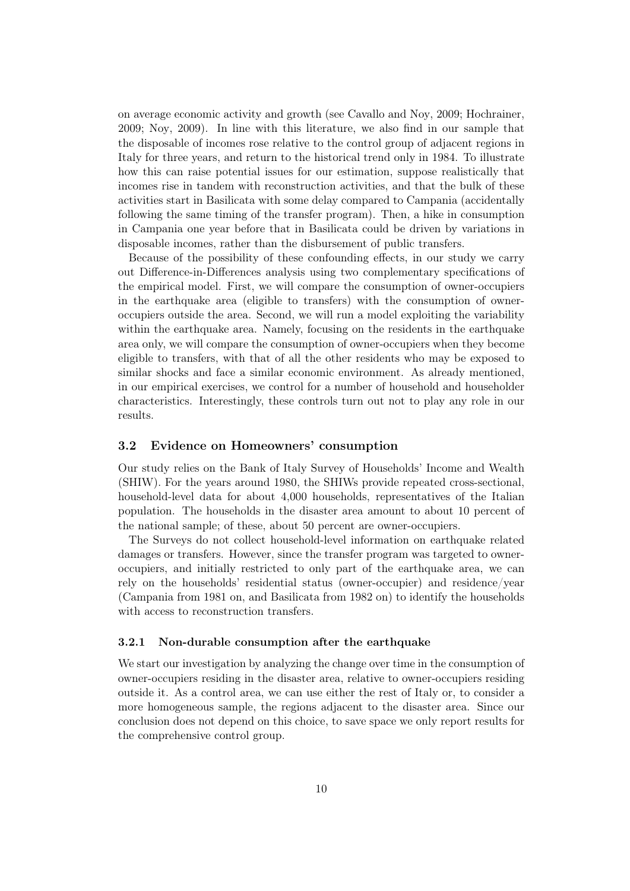on average economic activity and growth (see Cavallo and Noy, 2009; Hochrainer, 2009; Noy, 2009). In line with this literature, we also find in our sample that the disposable of incomes rose relative to the control group of adjacent regions in Italy for three years, and return to the historical trend only in 1984. To illustrate how this can raise potential issues for our estimation, suppose realistically that incomes rise in tandem with reconstruction activities, and that the bulk of these activities start in Basilicata with some delay compared to Campania (accidentally following the same timing of the transfer program). Then, a hike in consumption in Campania one year before that in Basilicata could be driven by variations in disposable incomes, rather than the disbursement of public transfers.

Because of the possibility of these confounding effects, in our study we carry out Difference-in-Differences analysis using two complementary specifications of the empirical model. First, we will compare the consumption of owner-occupiers in the earthquake area (eligible to transfers) with the consumption of owneroccupiers outside the area. Second, we will run a model exploiting the variability within the earthquake area. Namely, focusing on the residents in the earthquake area only, we will compare the consumption of owner-occupiers when they become eligible to transfers, with that of all the other residents who may be exposed to similar shocks and face a similar economic environment. As already mentioned, in our empirical exercises, we control for a number of household and householder characteristics. Interestingly, these controls turn out not to play any role in our results.

#### 3.2 Evidence on Homeowners' consumption

Our study relies on the Bank of Italy Survey of Households' Income and Wealth (SHIW). For the years around 1980, the SHIWs provide repeated cross-sectional, household-level data for about 4,000 households, representatives of the Italian population. The households in the disaster area amount to about 10 percent of the national sample; of these, about 50 percent are owner-occupiers.

The Surveys do not collect household-level information on earthquake related damages or transfers. However, since the transfer program was targeted to owneroccupiers, and initially restricted to only part of the earthquake area, we can rely on the households' residential status (owner-occupier) and residence/year (Campania from 1981 on, and Basilicata from 1982 on) to identify the households with access to reconstruction transfers.

#### 3.2.1 Non-durable consumption after the earthquake

We start our investigation by analyzing the change over time in the consumption of owner-occupiers residing in the disaster area, relative to owner-occupiers residing outside it. As a control area, we can use either the rest of Italy or, to consider a more homogeneous sample, the regions adjacent to the disaster area. Since our conclusion does not depend on this choice, to save space we only report results for the comprehensive control group.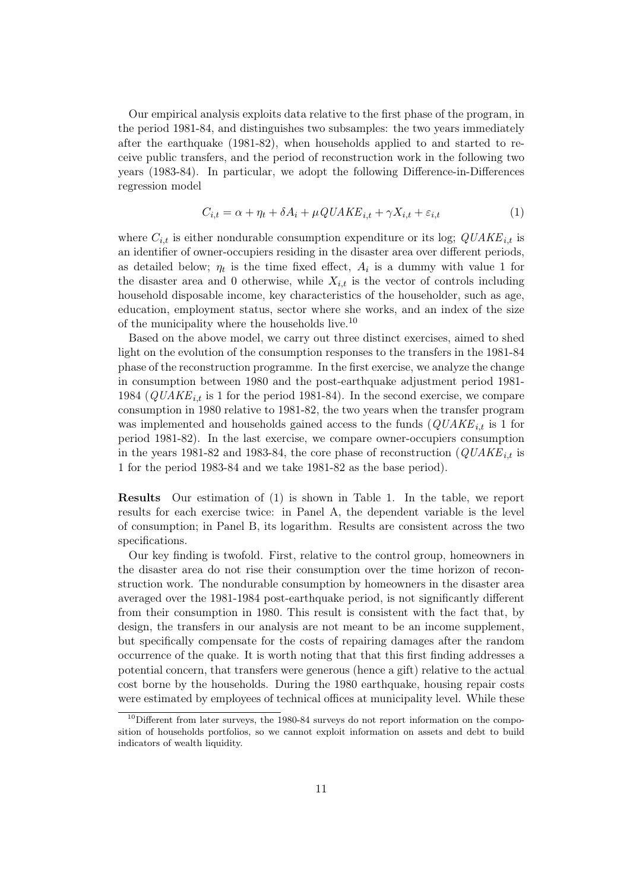Our empirical analysis exploits data relative to the first phase of the program, in the period 1981-84, and distinguishes two subsamples: the two years immediately after the earthquake (1981-82), when households applied to and started to receive public transfers, and the period of reconstruction work in the following two years (1983-84). In particular, we adopt the following Difference-in-Differences regression model

$$
C_{i,t} = \alpha + \eta_t + \delta A_i + \mu QUAKE_{i,t} + \gamma X_{i,t} + \varepsilon_{i,t}
$$
\n<sup>(1)</sup>

where  $C_{i,t}$  is either nondurable consumption expenditure or its log;  $\dot{Q}UAKE_{i,t}$  is an identifier of owner-occupiers residing in the disaster area over different periods, as detailed below;  $\eta_t$  is the time fixed effect,  $A_i$  is a dummy with value 1 for the disaster area and 0 otherwise, while  $X_{i,t}$  is the vector of controls including household disposable income, key characteristics of the householder, such as age, education, employment status, sector where she works, and an index of the size of the municipality where the households live.<sup>10</sup>

Based on the above model, we carry out three distinct exercises, aimed to shed light on the evolution of the consumption responses to the transfers in the 1981-84 phase of the reconstruction programme. In the first exercise, we analyze the change in consumption between 1980 and the post-earthquake adjustment period 1981- 1984 ( $QUAKE_{i,t}$  is 1 for the period 1981-84). In the second exercise, we compare consumption in 1980 relative to 1981-82, the two years when the transfer program was implemented and households gained access to the funds  $\left( \text{QUAKE}_{i,t} \right)$  is 1 for period 1981-82). In the last exercise, we compare owner-occupiers consumption in the years 1981-82 and 1983-84, the core phase of reconstruction ( $\dot{QUAKE}_{i,t}$  is 1 for the period 1983-84 and we take 1981-82 as the base period).

Results Our estimation of (1) is shown in Table 1. In the table, we report results for each exercise twice: in Panel A, the dependent variable is the level of consumption; in Panel B, its logarithm. Results are consistent across the two specifications.

Our key finding is twofold. First, relative to the control group, homeowners in the disaster area do not rise their consumption over the time horizon of reconstruction work. The nondurable consumption by homeowners in the disaster area averaged over the 1981-1984 post-earthquake period, is not significantly different from their consumption in 1980. This result is consistent with the fact that, by design, the transfers in our analysis are not meant to be an income supplement, but specifically compensate for the costs of repairing damages after the random occurrence of the quake. It is worth noting that that this first finding addresses a potential concern, that transfers were generous (hence a gift) relative to the actual cost borne by the households. During the 1980 earthquake, housing repair costs were estimated by employees of technical offices at municipality level. While these

<sup>&</sup>lt;sup>10</sup>Different from later surveys, the 1980-84 surveys do not report information on the composition of households portfolios, so we cannot exploit information on assets and debt to build indicators of wealth liquidity.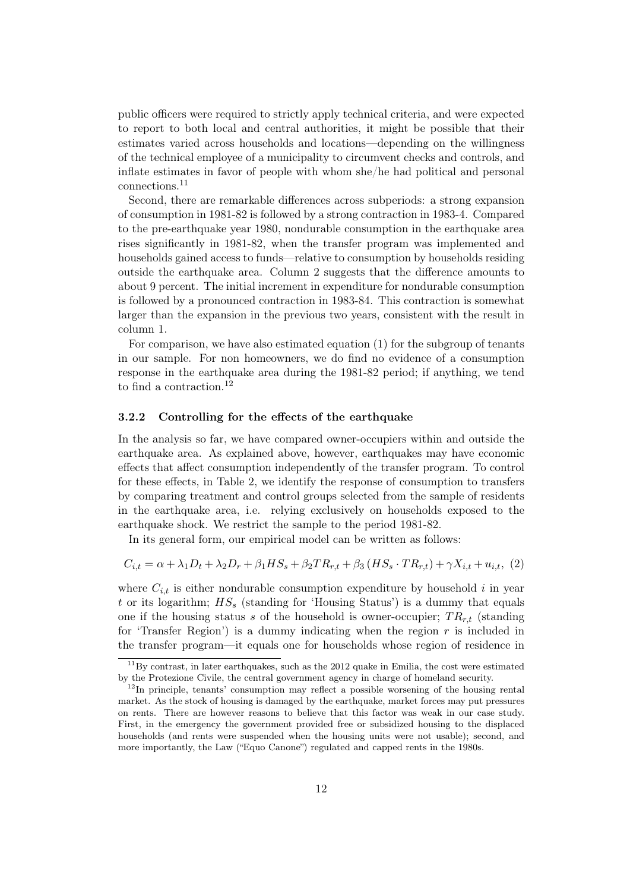public officers were required to strictly apply technical criteria, and were expected to report to both local and central authorities, it might be possible that their estimates varied across households and locations—depending on the willingness of the technical employee of a municipality to circumvent checks and controls, and inflate estimates in favor of people with whom she/he had political and personal connections.<sup>11</sup>

Second, there are remarkable differences across subperiods: a strong expansion of consumption in 1981-82 is followed by a strong contraction in 1983-4. Compared to the pre-earthquake year 1980, nondurable consumption in the earthquake area rises significantly in 1981-82, when the transfer program was implemented and households gained access to funds—relative to consumption by households residing outside the earthquake area. Column 2 suggests that the difference amounts to about 9 percent. The initial increment in expenditure for nondurable consumption is followed by a pronounced contraction in 1983-84. This contraction is somewhat larger than the expansion in the previous two years, consistent with the result in column 1.

For comparison, we have also estimated equation (1) for the subgroup of tenants in our sample. For non homeowners, we do find no evidence of a consumption response in the earthquake area during the 1981-82 period; if anything, we tend to find a contraction.<sup>12</sup>

#### 3.2.2 Controlling for the effects of the earthquake

In the analysis so far, we have compared owner-occupiers within and outside the earthquake area. As explained above, however, earthquakes may have economic effects that affect consumption independently of the transfer program. To control for these effects, in Table 2, we identify the response of consumption to transfers by comparing treatment and control groups selected from the sample of residents in the earthquake area, i.e. relying exclusively on households exposed to the earthquake shock. We restrict the sample to the period 1981-82.

In its general form, our empirical model can be written as follows:

$$
C_{i,t} = \alpha + \lambda_1 D_t + \lambda_2 D_r + \beta_1 H S_s + \beta_2 T R_{r,t} + \beta_3 (H S_s \cdot T R_{r,t}) + \gamma X_{i,t} + u_{i,t}, \tag{2}
$$

where  $C_{i,t}$  is either nondurable consumption expenditure by household i in year t or its logarithm;  $HS<sub>s</sub>$  (standing for 'Housing Status') is a dummy that equals one if the housing status s of the household is owner-occupier;  $TR_{r,t}$  (standing for 'Transfer Region') is a dummy indicating when the region  $r$  is included in the transfer program—it equals one for households whose region of residence in

 $11$ By contrast, in later earthquakes, such as the 2012 quake in Emilia, the cost were estimated by the Protezione Civile, the central government agency in charge of homeland security.

 $12$ In principle, tenants' consumption may reflect a possible worsening of the housing rental market. As the stock of housing is damaged by the earthquake, market forces may put pressures on rents. There are however reasons to believe that this factor was weak in our case study. First, in the emergency the government provided free or subsidized housing to the displaced households (and rents were suspended when the housing units were not usable); second, and more importantly, the Law ("Equo Canone") regulated and capped rents in the 1980s.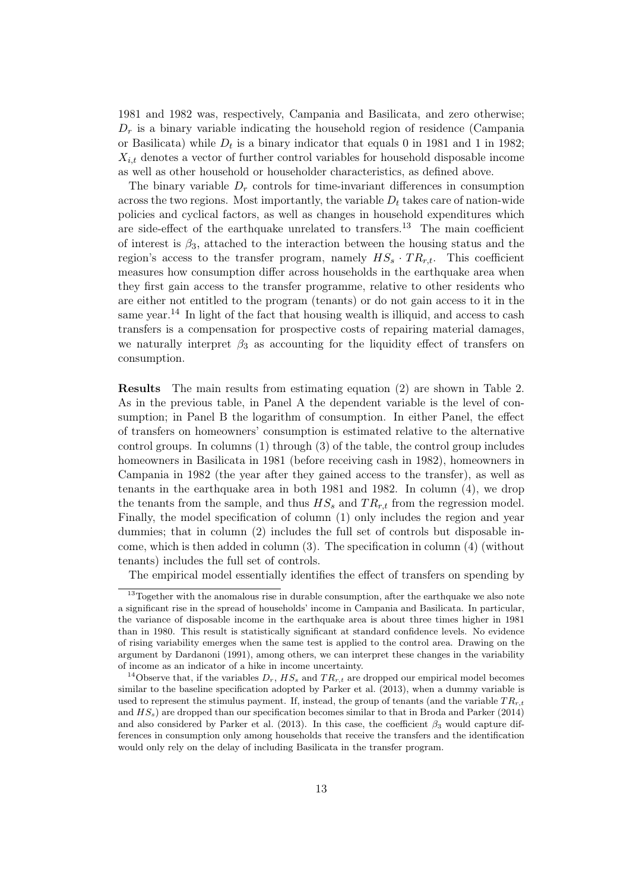1981 and 1982 was, respectively, Campania and Basilicata, and zero otherwise;  $D_r$  is a binary variable indicating the household region of residence (Campania or Basilicata) while  $D_t$  is a binary indicator that equals 0 in 1981 and 1 in 1982;  $X_{i,t}$  denotes a vector of further control variables for household disposable income as well as other household or householder characteristics, as defined above.

The binary variable  $D_r$  controls for time-invariant differences in consumption across the two regions. Most importantly, the variable  $D_t$  takes care of nation-wide policies and cyclical factors, as well as changes in household expenditures which are side-effect of the earthquake unrelated to transfers.<sup>13</sup> The main coefficient of interest is  $\beta_3$ , attached to the interaction between the housing status and the region's access to the transfer program, namely  $HS_s \cdot TR_{r,t}$ . This coefficient measures how consumption differ across households in the earthquake area when they first gain access to the transfer programme, relative to other residents who are either not entitled to the program (tenants) or do not gain access to it in the same year.<sup>14</sup> In light of the fact that housing wealth is illiquid, and access to cash transfers is a compensation for prospective costs of repairing material damages, we naturally interpret  $\beta_3$  as accounting for the liquidity effect of transfers on consumption.

Results The main results from estimating equation (2) are shown in Table 2. As in the previous table, in Panel A the dependent variable is the level of consumption; in Panel B the logarithm of consumption. In either Panel, the effect of transfers on homeowners' consumption is estimated relative to the alternative control groups. In columns (1) through (3) of the table, the control group includes homeowners in Basilicata in 1981 (before receiving cash in 1982), homeowners in Campania in 1982 (the year after they gained access to the transfer), as well as tenants in the earthquake area in both 1981 and 1982. In column (4), we drop the tenants from the sample, and thus  $HS_s$  and  $TR_{rt}$  from the regression model. Finally, the model specification of column (1) only includes the region and year dummies; that in column (2) includes the full set of controls but disposable income, which is then added in column (3). The specification in column (4) (without tenants) includes the full set of controls.

The empirical model essentially identifies the effect of transfers on spending by

<sup>&</sup>lt;sup>13</sup>Together with the anomalous rise in durable consumption, after the earthquake we also note a significant rise in the spread of households' income in Campania and Basilicata. In particular, the variance of disposable income in the earthquake area is about three times higher in 1981 than in 1980. This result is statistically significant at standard confidence levels. No evidence of rising variability emerges when the same test is applied to the control area. Drawing on the argument by Dardanoni (1991), among others, we can interpret these changes in the variability of income as an indicator of a hike in income uncertainty.

<sup>&</sup>lt;sup>14</sup>Observe that, if the variables  $D_r$ ,  $HS_s$  and  $TR_{r,t}$  are dropped our empirical model becomes similar to the baseline specification adopted by Parker et al. (2013), when a dummy variable is used to represent the stimulus payment. If, instead, the group of tenants (and the variable  $TR_{r,t}$ and  $HS<sub>s</sub>$ ) are dropped than our specification becomes similar to that in Broda and Parker (2014) and also considered by Parker et al. (2013). In this case, the coefficient  $\beta_3$  would capture differences in consumption only among households that receive the transfers and the identification would only rely on the delay of including Basilicata in the transfer program.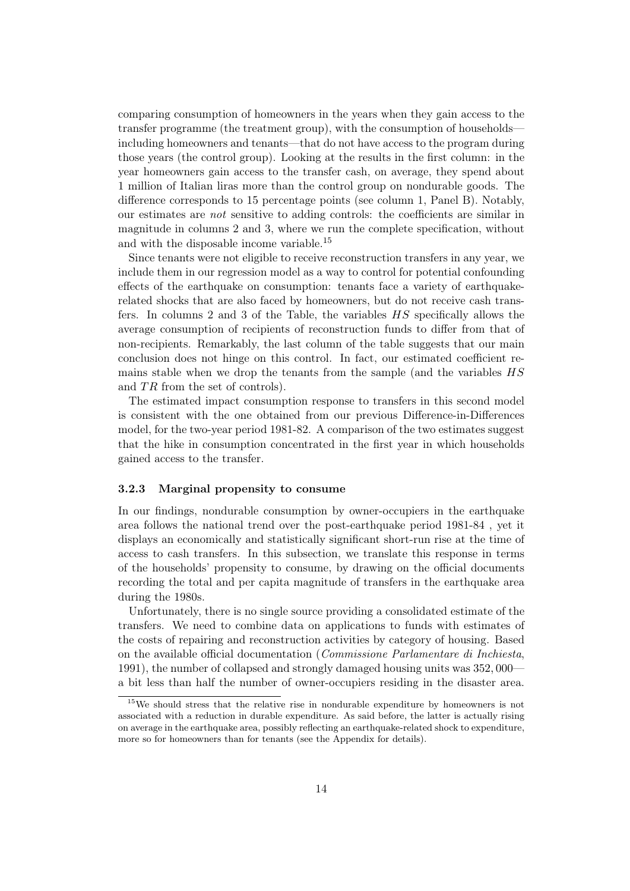comparing consumption of homeowners in the years when they gain access to the transfer programme (the treatment group), with the consumption of households including homeowners and tenants—that do not have access to the program during those years (the control group). Looking at the results in the first column: in the year homeowners gain access to the transfer cash, on average, they spend about 1 million of Italian liras more than the control group on nondurable goods. The difference corresponds to 15 percentage points (see column 1, Panel B). Notably, our estimates are not sensitive to adding controls: the coefficients are similar in magnitude in columns 2 and 3, where we run the complete specification, without and with the disposable income variable.<sup>15</sup>

Since tenants were not eligible to receive reconstruction transfers in any year, we include them in our regression model as a way to control for potential confounding effects of the earthquake on consumption: tenants face a variety of earthquakerelated shocks that are also faced by homeowners, but do not receive cash transfers. In columns 2 and 3 of the Table, the variables HS specifically allows the average consumption of recipients of reconstruction funds to differ from that of non-recipients. Remarkably, the last column of the table suggests that our main conclusion does not hinge on this control. In fact, our estimated coefficient remains stable when we drop the tenants from the sample (and the variables HS and  $TR$  from the set of controls).

The estimated impact consumption response to transfers in this second model is consistent with the one obtained from our previous Difference-in-Differences model, for the two-year period 1981-82. A comparison of the two estimates suggest that the hike in consumption concentrated in the first year in which households gained access to the transfer.

#### 3.2.3 Marginal propensity to consume

In our findings, nondurable consumption by owner-occupiers in the earthquake area follows the national trend over the post-earthquake period 1981-84 , yet it displays an economically and statistically significant short-run rise at the time of access to cash transfers. In this subsection, we translate this response in terms of the households' propensity to consume, by drawing on the official documents recording the total and per capita magnitude of transfers in the earthquake area during the 1980s.

Unfortunately, there is no single source providing a consolidated estimate of the transfers. We need to combine data on applications to funds with estimates of the costs of repairing and reconstruction activities by category of housing. Based on the available official documentation (Commissione Parlamentare di Inchiesta, 1991), the number of collapsed and strongly damaged housing units was 352, 000 a bit less than half the number of owner-occupiers residing in the disaster area.

<sup>15</sup>We should stress that the relative rise in nondurable expenditure by homeowners is not associated with a reduction in durable expenditure. As said before, the latter is actually rising on average in the earthquake area, possibly reflecting an earthquake-related shock to expenditure, more so for homeowners than for tenants (see the Appendix for details).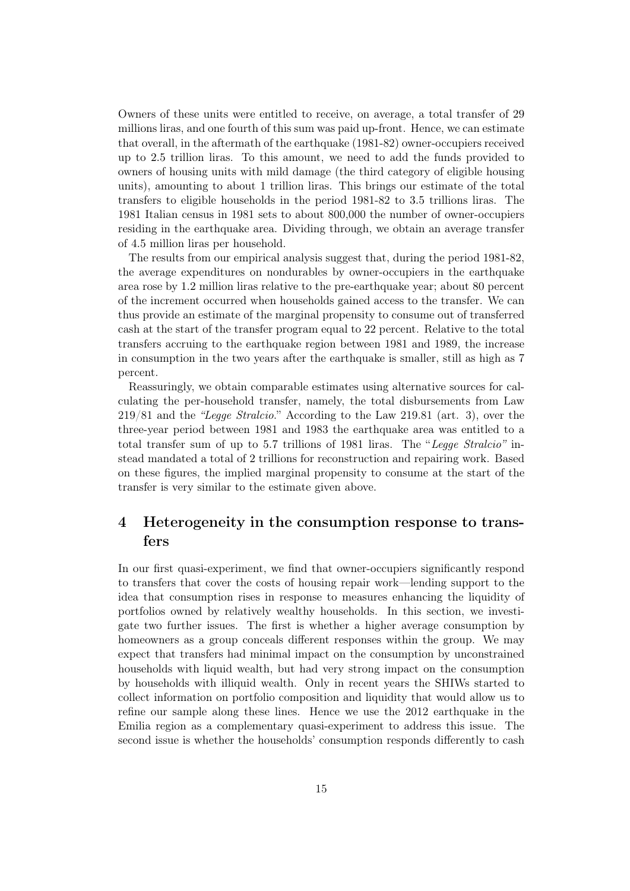Owners of these units were entitled to receive, on average, a total transfer of 29 millions liras, and one fourth of this sum was paid up-front. Hence, we can estimate that overall, in the aftermath of the earthquake (1981-82) owner-occupiers received up to 2.5 trillion liras. To this amount, we need to add the funds provided to owners of housing units with mild damage (the third category of eligible housing units), amounting to about 1 trillion liras. This brings our estimate of the total transfers to eligible households in the period 1981-82 to 3.5 trillions liras. The 1981 Italian census in 1981 sets to about 800,000 the number of owner-occupiers residing in the earthquake area. Dividing through, we obtain an average transfer of 4.5 million liras per household.

The results from our empirical analysis suggest that, during the period 1981-82, the average expenditures on nondurables by owner-occupiers in the earthquake area rose by 1.2 million liras relative to the pre-earthquake year; about 80 percent of the increment occurred when households gained access to the transfer. We can thus provide an estimate of the marginal propensity to consume out of transferred cash at the start of the transfer program equal to 22 percent. Relative to the total transfers accruing to the earthquake region between 1981 and 1989, the increase in consumption in the two years after the earthquake is smaller, still as high as 7 percent.

Reassuringly, we obtain comparable estimates using alternative sources for calculating the per-household transfer, namely, the total disbursements from Law 219/81 and the "Legge Stralcio." According to the Law 219.81 (art. 3), over the three-year period between 1981 and 1983 the earthquake area was entitled to a total transfer sum of up to 5.7 trillions of 1981 liras. The "Legge Stralcio" instead mandated a total of 2 trillions for reconstruction and repairing work. Based on these figures, the implied marginal propensity to consume at the start of the transfer is very similar to the estimate given above.

## 4 Heterogeneity in the consumption response to transfers

In our first quasi-experiment, we find that owner-occupiers significantly respond to transfers that cover the costs of housing repair work—lending support to the idea that consumption rises in response to measures enhancing the liquidity of portfolios owned by relatively wealthy households. In this section, we investigate two further issues. The first is whether a higher average consumption by homeowners as a group conceals different responses within the group. We may expect that transfers had minimal impact on the consumption by unconstrained households with liquid wealth, but had very strong impact on the consumption by households with illiquid wealth. Only in recent years the SHIWs started to collect information on portfolio composition and liquidity that would allow us to refine our sample along these lines. Hence we use the 2012 earthquake in the Emilia region as a complementary quasi-experiment to address this issue. The second issue is whether the households' consumption responds differently to cash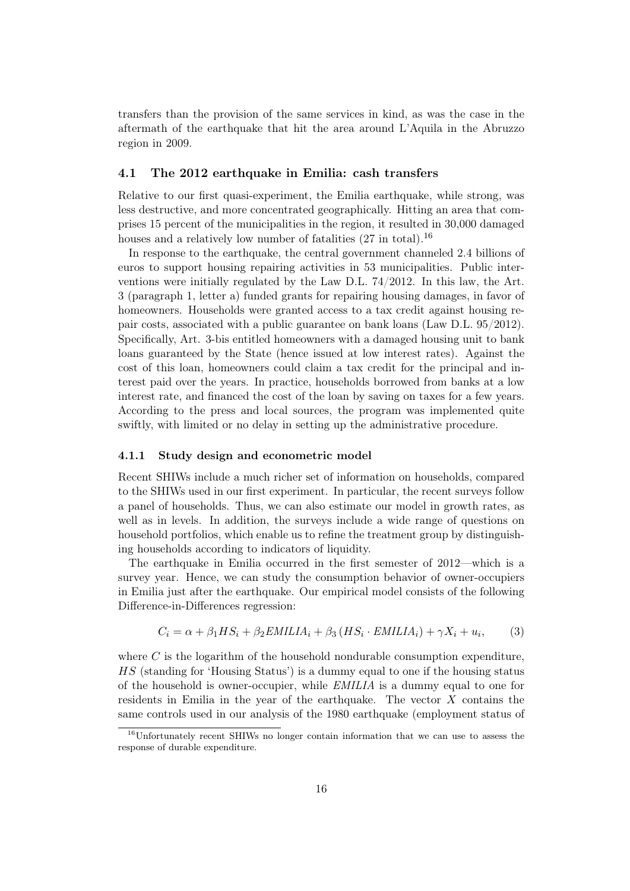transfers than the provision of the same services in kind, as was the case in the aftermath of the earthquake that hit the area around L'Aquila in the Abruzzo region in 2009.

#### 4.1 The 2012 earthquake in Emilia: cash transfers

Relative to our first quasi-experiment, the Emilia earthquake, while strong, was less destructive, and more concentrated geographically. Hitting an area that comprises 15 percent of the municipalities in the region, it resulted in 30,000 damaged houses and a relatively low number of fatalities  $(27 \text{ in total})$ .<sup>16</sup>

In response to the earthquake, the central government channeled 2.4 billions of euros to support housing repairing activities in 53 municipalities. Public interventions were initially regulated by the Law D.L. 74/2012. In this law, the Art. 3 (paragraph 1, letter a) funded grants for repairing housing damages, in favor of homeowners. Households were granted access to a tax credit against housing repair costs, associated with a public guarantee on bank loans (Law D.L. 95/2012). Specifically, Art. 3-bis entitled homeowners with a damaged housing unit to bank loans guaranteed by the State (hence issued at low interest rates). Against the cost of this loan, homeowners could claim a tax credit for the principal and interest paid over the years. In practice, households borrowed from banks at a low interest rate, and financed the cost of the loan by saving on taxes for a few years. According to the press and local sources, the program was implemented quite swiftly, with limited or no delay in setting up the administrative procedure.

#### 4.1.1 Study design and econometric model

Recent SHIWs include a much richer set of information on households, compared to the SHIWs used in our first experiment. In particular, the recent surveys follow a panel of households. Thus, we can also estimate our model in growth rates, as well as in levels. In addition, the surveys include a wide range of questions on household portfolios, which enable us to refine the treatment group by distinguishing households according to indicators of liquidity.

The earthquake in Emilia occurred in the first semester of 2012—which is a survey year. Hence, we can study the consumption behavior of owner-occupiers in Emilia just after the earthquake. Our empirical model consists of the following Difference-in-Differences regression:

$$
C_i = \alpha + \beta_1 HS_i + \beta_2 E \text{MILIA}_i + \beta_3 (HS_i \cdot E \text{MILIA}_i) + \gamma X_i + u_i,
$$
 (3)

where  $C$  is the logarithm of the household nondurable consumption expenditure. HS (standing for 'Housing Status') is a dummy equal to one if the housing status of the household is owner-occupier, while EMILIA is a dummy equal to one for residents in Emilia in the year of the earthquake. The vector  $X$  contains the same controls used in our analysis of the 1980 earthquake (employment status of

<sup>16</sup>Unfortunately recent SHIWs no longer contain information that we can use to assess the response of durable expenditure.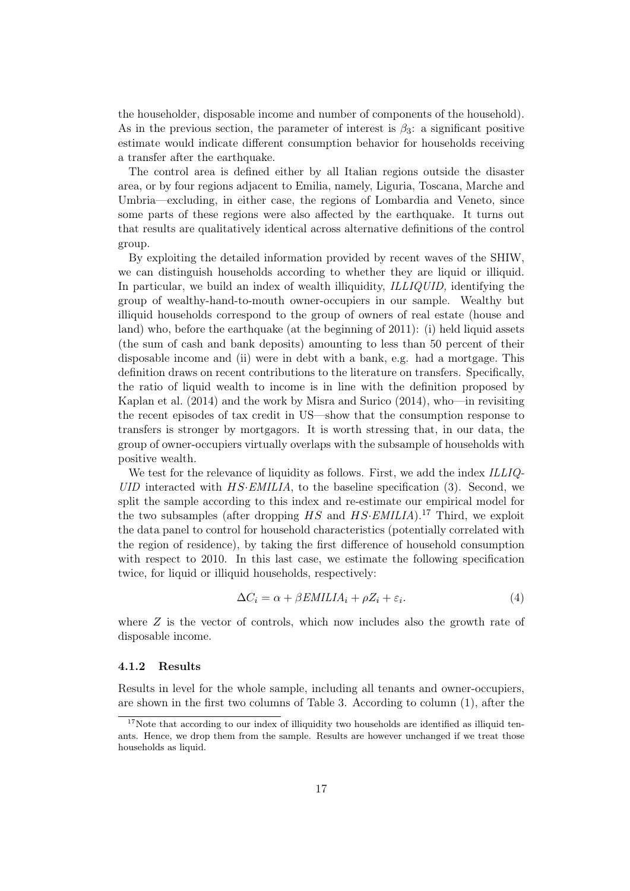the householder, disposable income and number of components of the household). As in the previous section, the parameter of interest is  $\beta_3$ : a significant positive estimate would indicate different consumption behavior for households receiving a transfer after the earthquake.

The control area is defined either by all Italian regions outside the disaster area, or by four regions adjacent to Emilia, namely, Liguria, Toscana, Marche and Umbria—excluding, in either case, the regions of Lombardia and Veneto, since some parts of these regions were also affected by the earthquake. It turns out that results are qualitatively identical across alternative definitions of the control group.

By exploiting the detailed information provided by recent waves of the SHIW, we can distinguish households according to whether they are liquid or illiquid. In particular, we build an index of wealth illiquidity, ILLIQUID, identifying the group of wealthy-hand-to-mouth owner-occupiers in our sample. Wealthy but illiquid households correspond to the group of owners of real estate (house and land) who, before the earthquake (at the beginning of 2011): (i) held liquid assets (the sum of cash and bank deposits) amounting to less than 50 percent of their disposable income and (ii) were in debt with a bank, e.g. had a mortgage. This definition draws on recent contributions to the literature on transfers. Specifically, the ratio of liquid wealth to income is in line with the definition proposed by Kaplan et al. (2014) and the work by Misra and Surico (2014), who—in revisiting the recent episodes of tax credit in US—show that the consumption response to transfers is stronger by mortgagors. It is worth stressing that, in our data, the group of owner-occupiers virtually overlaps with the subsample of households with positive wealth.

We test for the relevance of liquidity as follows. First, we add the index ILLIQ- $UID$  interacted with  $HS: EMILIA$ , to the baseline specification (3). Second, we split the sample according to this index and re-estimate our empirical model for the two subsamples (after dropping  $HS$  and  $HS: EMILIA$ ).<sup>17</sup> Third, we exploit the data panel to control for household characteristics (potentially correlated with the region of residence), by taking the first difference of household consumption with respect to 2010. In this last case, we estimate the following specification twice, for liquid or illiquid households, respectively:

$$
\Delta C_i = \alpha + \beta EMILIA_i + \rho Z_i + \varepsilon_i. \tag{4}
$$

where  $Z$  is the vector of controls, which now includes also the growth rate of disposable income.

#### 4.1.2 Results

Results in level for the whole sample, including all tenants and owner-occupiers, are shown in the first two columns of Table 3. According to column (1), after the

 $17$ Note that according to our index of illiquidity two households are identified as illiquid tenants. Hence, we drop them from the sample. Results are however unchanged if we treat those households as liquid.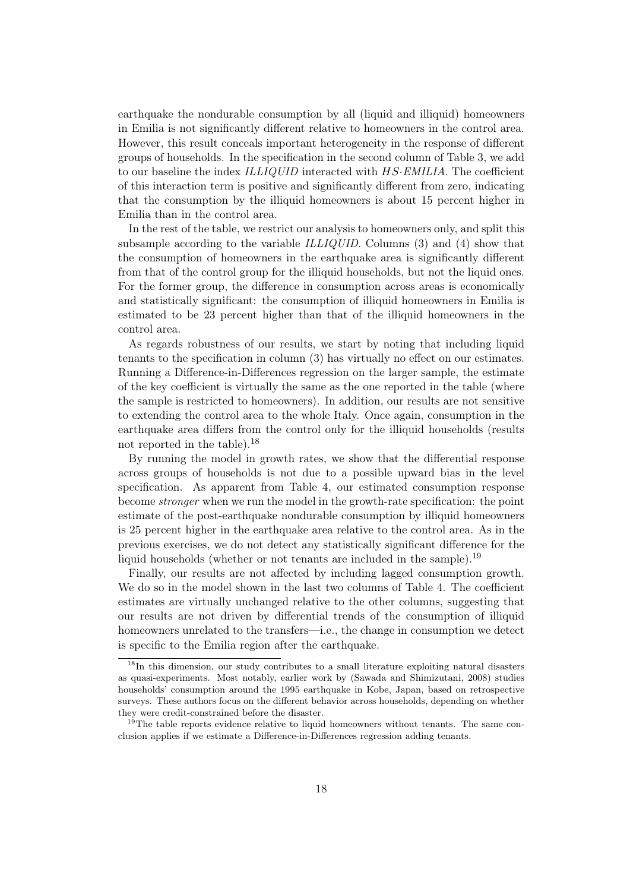earthquake the nondurable consumption by all (liquid and illiquid) homeowners in Emilia is not significantly different relative to homeowners in the control area. However, this result conceals important heterogeneity in the response of different groups of households. In the specification in the second column of Table 3, we add to our baseline the index ILLIQUID interacted with HS·EMILIA. The coefficient of this interaction term is positive and significantly different from zero, indicating that the consumption by the illiquid homeowners is about 15 percent higher in Emilia than in the control area.

In the rest of the table, we restrict our analysis to homeowners only, and split this subsample according to the variable ILLIQUID. Columns (3) and (4) show that the consumption of homeowners in the earthquake area is significantly different from that of the control group for the illiquid households, but not the liquid ones. For the former group, the difference in consumption across areas is economically and statistically significant: the consumption of illiquid homeowners in Emilia is estimated to be 23 percent higher than that of the illiquid homeowners in the control area.

As regards robustness of our results, we start by noting that including liquid tenants to the specification in column (3) has virtually no effect on our estimates. Running a Difference-in-Differences regression on the larger sample, the estimate of the key coefficient is virtually the same as the one reported in the table (where the sample is restricted to homeowners). In addition, our results are not sensitive to extending the control area to the whole Italy. Once again, consumption in the earthquake area differs from the control only for the illiquid households (results not reported in the table).<sup>18</sup>

By running the model in growth rates, we show that the differential response across groups of households is not due to a possible upward bias in the level specification. As apparent from Table 4, our estimated consumption response become stronger when we run the model in the growth-rate specification: the point estimate of the post-earthquake nondurable consumption by illiquid homeowners is 25 percent higher in the earthquake area relative to the control area. As in the previous exercises, we do not detect any statistically significant difference for the liquid households (whether or not tenants are included in the sample).<sup>19</sup>

Finally, our results are not affected by including lagged consumption growth. We do so in the model shown in the last two columns of Table 4. The coefficient estimates are virtually unchanged relative to the other columns, suggesting that our results are not driven by differential trends of the consumption of illiquid homeowners unrelated to the transfers—i.e., the change in consumption we detect is specific to the Emilia region after the earthquake.

<sup>&</sup>lt;sup>18</sup>In this dimension, our study contributes to a small literature exploiting natural disasters as quasi-experiments. Most notably, earlier work by (Sawada and Shimizutani, 2008) studies households' consumption around the 1995 earthquake in Kobe, Japan, based on retrospective surveys. These authors focus on the different behavior across households, depending on whether they were credit-constrained before the disaster.

 $19$ <sup>The</sup> table reports evidence relative to liquid homeowners without tenants. The same conclusion applies if we estimate a Difference-in-Differences regression adding tenants.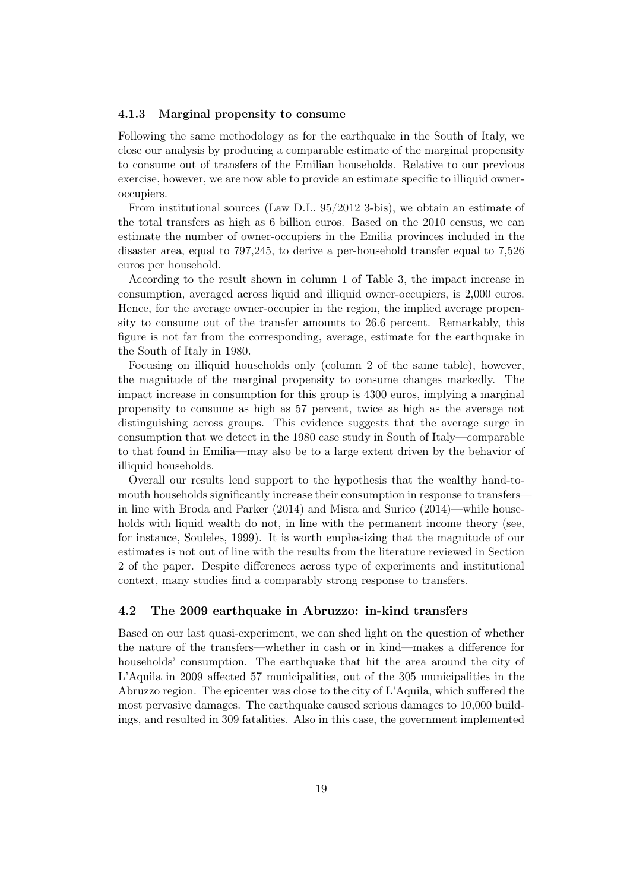#### 4.1.3 Marginal propensity to consume

Following the same methodology as for the earthquake in the South of Italy, we close our analysis by producing a comparable estimate of the marginal propensity to consume out of transfers of the Emilian households. Relative to our previous exercise, however, we are now able to provide an estimate specific to illiquid owneroccupiers.

From institutional sources (Law D.L. 95/2012 3-bis), we obtain an estimate of the total transfers as high as 6 billion euros. Based on the 2010 census, we can estimate the number of owner-occupiers in the Emilia provinces included in the disaster area, equal to 797,245, to derive a per-household transfer equal to 7,526 euros per household.

According to the result shown in column 1 of Table 3, the impact increase in consumption, averaged across liquid and illiquid owner-occupiers, is 2,000 euros. Hence, for the average owner-occupier in the region, the implied average propensity to consume out of the transfer amounts to 26.6 percent. Remarkably, this figure is not far from the corresponding, average, estimate for the earthquake in the South of Italy in 1980.

Focusing on illiquid households only (column 2 of the same table), however, the magnitude of the marginal propensity to consume changes markedly. The impact increase in consumption for this group is 4300 euros, implying a marginal propensity to consume as high as 57 percent, twice as high as the average not distinguishing across groups. This evidence suggests that the average surge in consumption that we detect in the 1980 case study in South of Italy—comparable to that found in Emilia—may also be to a large extent driven by the behavior of illiquid households.

Overall our results lend support to the hypothesis that the wealthy hand-tomouth households significantly increase their consumption in response to transfers in line with Broda and Parker (2014) and Misra and Surico (2014)—while households with liquid wealth do not, in line with the permanent income theory (see, for instance, Souleles, 1999). It is worth emphasizing that the magnitude of our estimates is not out of line with the results from the literature reviewed in Section 2 of the paper. Despite differences across type of experiments and institutional context, many studies find a comparably strong response to transfers.

#### 4.2 The 2009 earthquake in Abruzzo: in-kind transfers

Based on our last quasi-experiment, we can shed light on the question of whether the nature of the transfers—whether in cash or in kind—makes a difference for households' consumption. The earthquake that hit the area around the city of L'Aquila in 2009 affected 57 municipalities, out of the 305 municipalities in the Abruzzo region. The epicenter was close to the city of L'Aquila, which suffered the most pervasive damages. The earthquake caused serious damages to 10,000 buildings, and resulted in 309 fatalities. Also in this case, the government implemented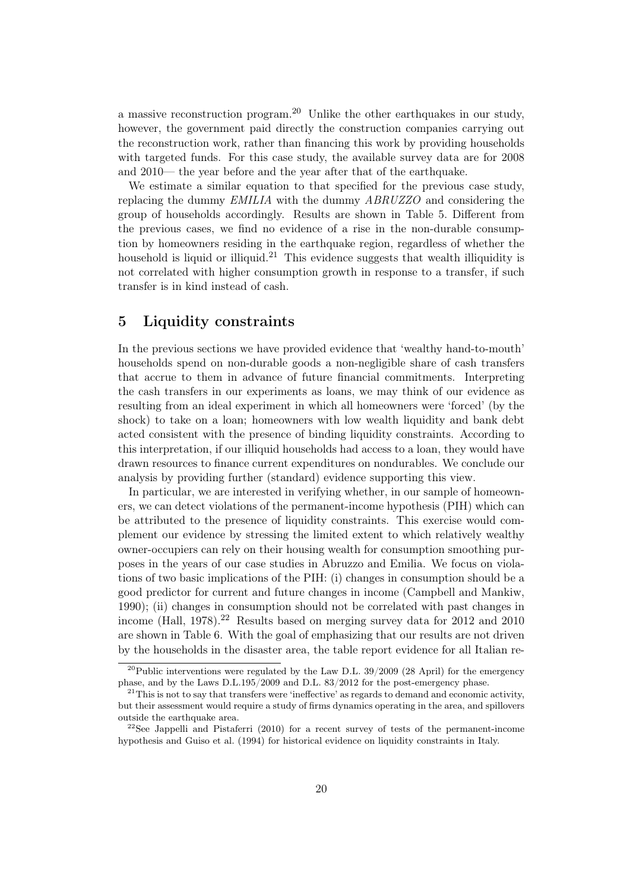a massive reconstruction program.<sup>20</sup> Unlike the other earthquakes in our study, however, the government paid directly the construction companies carrying out the reconstruction work, rather than financing this work by providing households with targeted funds. For this case study, the available survey data are for 2008 and 2010— the year before and the year after that of the earthquake.

We estimate a similar equation to that specified for the previous case study, replacing the dummy EMILIA with the dummy ABRUZZO and considering the group of households accordingly. Results are shown in Table 5. Different from the previous cases, we find no evidence of a rise in the non-durable consumption by homeowners residing in the earthquake region, regardless of whether the household is liquid or illiquid.<sup>21</sup> This evidence suggests that wealth illiquidity is not correlated with higher consumption growth in response to a transfer, if such transfer is in kind instead of cash.

## 5 Liquidity constraints

In the previous sections we have provided evidence that 'wealthy hand-to-mouth' households spend on non-durable goods a non-negligible share of cash transfers that accrue to them in advance of future financial commitments. Interpreting the cash transfers in our experiments as loans, we may think of our evidence as resulting from an ideal experiment in which all homeowners were 'forced' (by the shock) to take on a loan; homeowners with low wealth liquidity and bank debt acted consistent with the presence of binding liquidity constraints. According to this interpretation, if our illiquid households had access to a loan, they would have drawn resources to finance current expenditures on nondurables. We conclude our analysis by providing further (standard) evidence supporting this view.

In particular, we are interested in verifying whether, in our sample of homeowners, we can detect violations of the permanent-income hypothesis (PIH) which can be attributed to the presence of liquidity constraints. This exercise would complement our evidence by stressing the limited extent to which relatively wealthy owner-occupiers can rely on their housing wealth for consumption smoothing purposes in the years of our case studies in Abruzzo and Emilia. We focus on violations of two basic implications of the PIH: (i) changes in consumption should be a good predictor for current and future changes in income (Campbell and Mankiw, 1990); (ii) changes in consumption should not be correlated with past changes in income (Hall, 1978).<sup>22</sup> Results based on merging survey data for 2012 and 2010 are shown in Table 6. With the goal of emphasizing that our results are not driven by the households in the disaster area, the table report evidence for all Italian re-

 $20$ Public interventions were regulated by the Law D.L. 39/2009 (28 April) for the emergency phase, and by the Laws D.L.195/2009 and D.L. 83/2012 for the post-emergency phase.

 $21$ This is not to say that transfers were 'ineffective' as regards to demand and economic activity, but their assessment would require a study of firms dynamics operating in the area, and spillovers outside the earthquake area.

<sup>&</sup>lt;sup>22</sup>See Jappelli and Pistaferri (2010) for a recent survey of tests of the permanent-income hypothesis and Guiso et al. (1994) for historical evidence on liquidity constraints in Italy.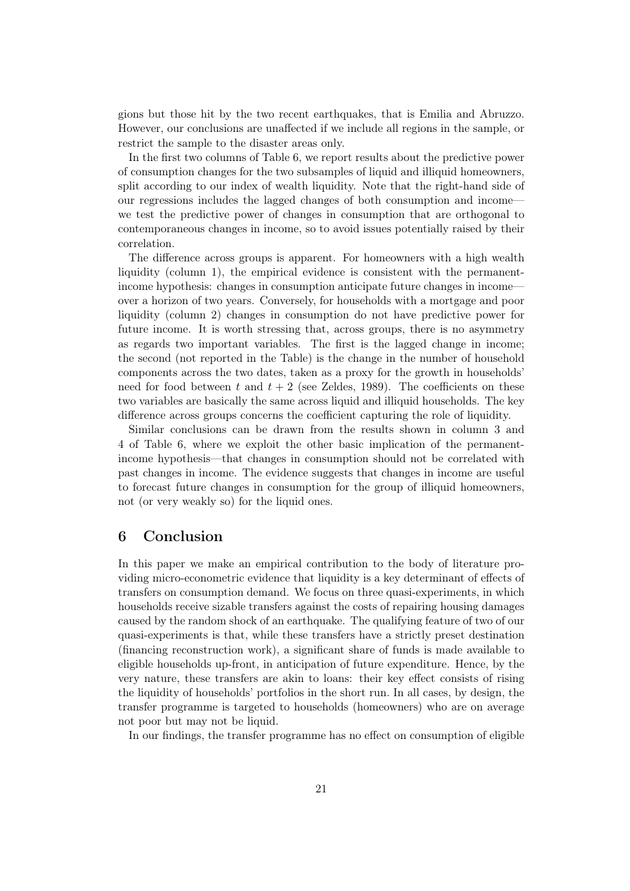gions but those hit by the two recent earthquakes, that is Emilia and Abruzzo. However, our conclusions are unaffected if we include all regions in the sample, or restrict the sample to the disaster areas only.

In the first two columns of Table 6, we report results about the predictive power of consumption changes for the two subsamples of liquid and illiquid homeowners, split according to our index of wealth liquidity. Note that the right-hand side of our regressions includes the lagged changes of both consumption and income we test the predictive power of changes in consumption that are orthogonal to contemporaneous changes in income, so to avoid issues potentially raised by their correlation.

The difference across groups is apparent. For homeowners with a high wealth liquidity (column 1), the empirical evidence is consistent with the permanentincome hypothesis: changes in consumption anticipate future changes in income over a horizon of two years. Conversely, for households with a mortgage and poor liquidity (column 2) changes in consumption do not have predictive power for future income. It is worth stressing that, across groups, there is no asymmetry as regards two important variables. The first is the lagged change in income; the second (not reported in the Table) is the change in the number of household components across the two dates, taken as a proxy for the growth in households' need for food between t and  $t + 2$  (see Zeldes, 1989). The coefficients on these two variables are basically the same across liquid and illiquid households. The key difference across groups concerns the coefficient capturing the role of liquidity.

Similar conclusions can be drawn from the results shown in column 3 and 4 of Table 6, where we exploit the other basic implication of the permanentincome hypothesis—that changes in consumption should not be correlated with past changes in income. The evidence suggests that changes in income are useful to forecast future changes in consumption for the group of illiquid homeowners, not (or very weakly so) for the liquid ones.

### 6 Conclusion

In this paper we make an empirical contribution to the body of literature providing micro-econometric evidence that liquidity is a key determinant of effects of transfers on consumption demand. We focus on three quasi-experiments, in which households receive sizable transfers against the costs of repairing housing damages caused by the random shock of an earthquake. The qualifying feature of two of our quasi-experiments is that, while these transfers have a strictly preset destination (financing reconstruction work), a significant share of funds is made available to eligible households up-front, in anticipation of future expenditure. Hence, by the very nature, these transfers are akin to loans: their key effect consists of rising the liquidity of households' portfolios in the short run. In all cases, by design, the transfer programme is targeted to households (homeowners) who are on average not poor but may not be liquid.

In our findings, the transfer programme has no effect on consumption of eligible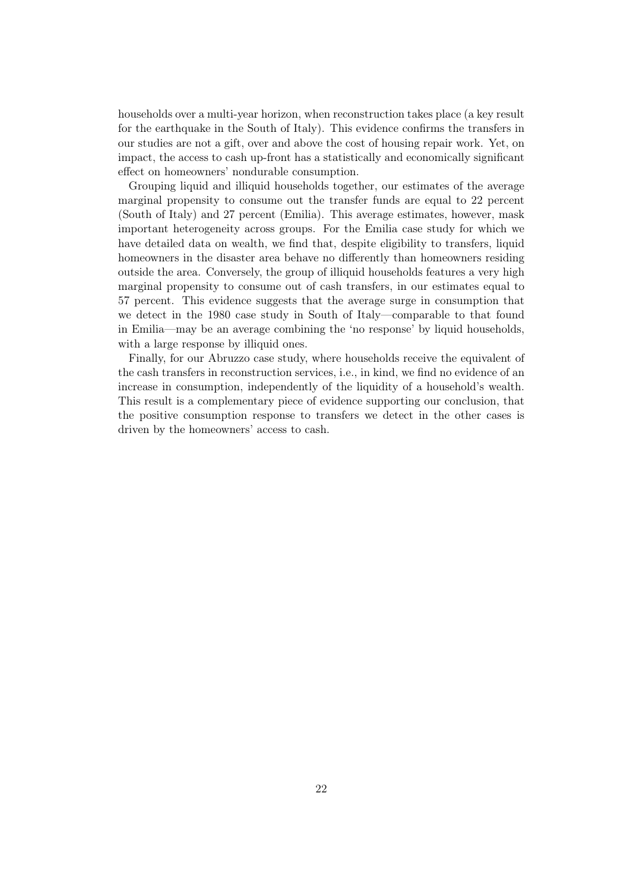households over a multi-year horizon, when reconstruction takes place (a key result for the earthquake in the South of Italy). This evidence confirms the transfers in our studies are not a gift, over and above the cost of housing repair work. Yet, on impact, the access to cash up-front has a statistically and economically significant effect on homeowners' nondurable consumption.

Grouping liquid and illiquid households together, our estimates of the average marginal propensity to consume out the transfer funds are equal to 22 percent (South of Italy) and 27 percent (Emilia). This average estimates, however, mask important heterogeneity across groups. For the Emilia case study for which we have detailed data on wealth, we find that, despite eligibility to transfers, liquid homeowners in the disaster area behave no differently than homeowners residing outside the area. Conversely, the group of illiquid households features a very high marginal propensity to consume out of cash transfers, in our estimates equal to 57 percent. This evidence suggests that the average surge in consumption that we detect in the 1980 case study in South of Italy—comparable to that found in Emilia—may be an average combining the 'no response' by liquid households, with a large response by illiquid ones.

Finally, for our Abruzzo case study, where households receive the equivalent of the cash transfers in reconstruction services, i.e., in kind, we find no evidence of an increase in consumption, independently of the liquidity of a household's wealth. This result is a complementary piece of evidence supporting our conclusion, that the positive consumption response to transfers we detect in the other cases is driven by the homeowners' access to cash.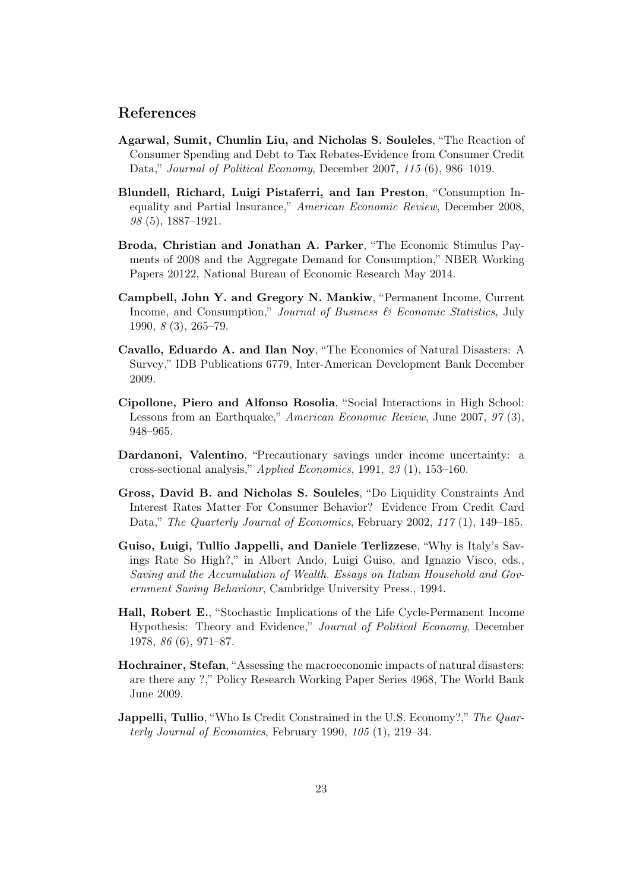### References

- Agarwal, Sumit, Chunlin Liu, and Nicholas S. Souleles, "The Reaction of Consumer Spending and Debt to Tax Rebates-Evidence from Consumer Credit Data," Journal of Political Economy, December 2007, 115 (6), 986-1019.
- Blundell, Richard, Luigi Pistaferri, and Ian Preston, "Consumption Inequality and Partial Insurance," American Economic Review, December 2008, 98 (5), 1887–1921.
- Broda, Christian and Jonathan A. Parker, "The Economic Stimulus Payments of 2008 and the Aggregate Demand for Consumption," NBER Working Papers 20122, National Bureau of Economic Research May 2014.
- Campbell, John Y. and Gregory N. Mankiw, "Permanent Income, Current Income, and Consumption," Journal of Business  $\mathcal{B}$  Economic Statistics, July 1990, 8 (3), 265–79.
- Cavallo, Eduardo A. and Ilan Noy, "The Economics of Natural Disasters: A Survey," IDB Publications 6779, Inter-American Development Bank December 2009.
- Cipollone, Piero and Alfonso Rosolia, "Social Interactions in High School: Lessons from an Earthquake," American Economic Review, June 2007, 97 (3), 948–965.
- Dardanoni, Valentino, "Precautionary savings under income uncertainty: a cross-sectional analysis," Applied Economics, 1991, 23 (1), 153–160.
- Gross, David B. and Nicholas S. Souleles, "Do Liquidity Constraints And Interest Rates Matter For Consumer Behavior? Evidence From Credit Card Data," The Quarterly Journal of Economics, February 2002, 117(1), 149–185.
- Guiso, Luigi, Tullio Jappelli, and Daniele Terlizzese, "Why is Italy's Savings Rate So High?," in Albert Ando, Luigi Guiso, and Ignazio Visco, eds., Saving and the Accumulation of Wealth. Essays on Italian Household and Government Saving Behaviour, Cambridge University Press., 1994.
- Hall, Robert E., "Stochastic Implications of the Life Cycle-Permanent Income Hypothesis: Theory and Evidence," Journal of Political Economy, December 1978, 86 (6), 971–87.
- Hochrainer, Stefan, "Assessing the macroeconomic impacts of natural disasters: are there any ?," Policy Research Working Paper Series 4968, The World Bank June 2009.
- **Jappelli, Tullio**, "Who Is Credit Constrained in the U.S. Economy?," The Quarterly Journal of Economics, February 1990, 105 (1), 219–34.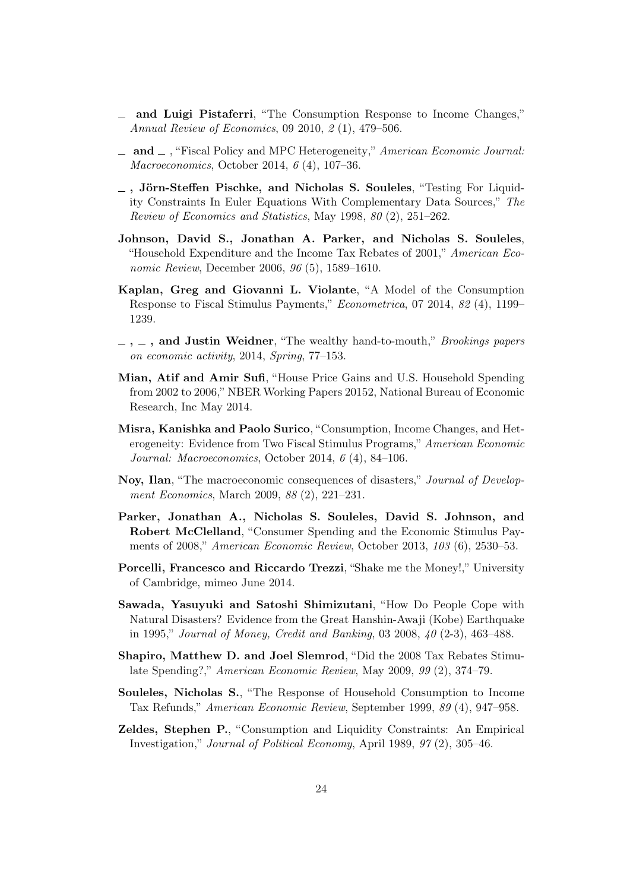- and Luigi Pistaferri, "The Consumption Response to Income Changes," Annual Review of Economics, 09 2010, 2 (1), 479–506.
- $\Box$  and  $\Box$ , "Fiscal Policy and MPC Heterogeneity," American Economic Journal: Macroeconomics, October 2014, 6 (4), 107–36.
- , Jörn-Steffen Pischke, and Nicholas S. Souleles, "Testing For Liquidity Constraints In Euler Equations With Complementary Data Sources," The Review of Economics and Statistics, May 1998, 80 (2), 251–262.
- Johnson, David S., Jonathan A. Parker, and Nicholas S. Souleles, "Household Expenditure and the Income Tax Rebates of 2001," American Economic Review, December 2006, 96 (5), 1589–1610.
- Kaplan, Greg and Giovanni L. Violante, "A Model of the Consumption Response to Fiscal Stimulus Payments," Econometrica, 07 2014, 82 (4), 1199– 1239.
- $-$ ,  $-$ , and Justin Weidner, "The wealthy hand-to-mouth," Brookings papers on economic activity, 2014, Spring, 77–153.
- Mian, Atif and Amir Sufi, "House Price Gains and U.S. Household Spending from 2002 to 2006," NBER Working Papers 20152, National Bureau of Economic Research, Inc May 2014.
- Misra, Kanishka and Paolo Surico, "Consumption, Income Changes, and Heterogeneity: Evidence from Two Fiscal Stimulus Programs," American Economic Journal: Macroeconomics, October 2014, 6 (4), 84–106.
- Noy, Ilan, "The macroeconomic consequences of disasters," Journal of Development Economics, March 2009, 88 (2), 221–231.
- Parker, Jonathan A., Nicholas S. Souleles, David S. Johnson, and Robert McClelland, "Consumer Spending and the Economic Stimulus Payments of 2008," American Economic Review, October 2013, 103 (6), 2530–53.
- Porcelli, Francesco and Riccardo Trezzi, "Shake me the Money!," University of Cambridge, mimeo June 2014.
- Sawada, Yasuyuki and Satoshi Shimizutani, "How Do People Cope with Natural Disasters? Evidence from the Great Hanshin-Awaji (Kobe) Earthquake in 1995," Journal of Money, Credit and Banking, 03 2008, 40 (2-3), 463–488.
- Shapiro, Matthew D. and Joel Slemrod, "Did the 2008 Tax Rebates Stimulate Spending?," American Economic Review, May 2009, 99 (2), 374–79.
- Souleles, Nicholas S., "The Response of Household Consumption to Income Tax Refunds," American Economic Review, September 1999, 89 (4), 947–958.
- Zeldes, Stephen P., "Consumption and Liquidity Constraints: An Empirical Investigation," Journal of Political Economy, April 1989, 97 (2), 305–46.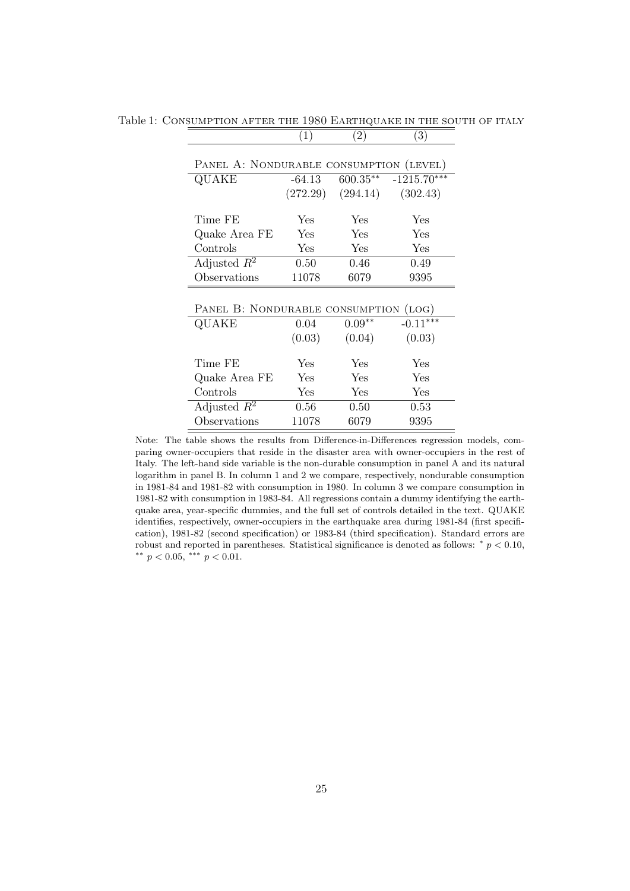| PANEL A: NONDURABLE CONSUMPTION (LEVEL) |            |          |                         |  |  |
|-----------------------------------------|------------|----------|-------------------------|--|--|
| QUAKE                                   | -64.13     |          | $600.35***$ -1215.70*** |  |  |
|                                         | (272.29)   | (294.14) | (302.43)                |  |  |
|                                         |            |          |                         |  |  |
| Time FE                                 | Yes.       | Yes      | Yes                     |  |  |
| Quake Area FE                           | <b>Yes</b> | Yes      | Yes                     |  |  |
| Controls                                | Yes        | Yes      | Yes                     |  |  |
| Adjusted $R^2$                          | 0.50       | 0.46     | 0.49                    |  |  |
| Observations                            | 11078      | 6079     | 9395                    |  |  |
|                                         |            |          |                         |  |  |
| PANEL B: NONDURABLE CONSUMPTION (LOG)   |            |          |                         |  |  |
| QUAKE                                   | 0.04       | $0.09**$ | $-0.11***$              |  |  |
|                                         | (0.03)     | (0.04)   | (0.03)                  |  |  |
|                                         |            |          |                         |  |  |
| Time FE                                 | <b>Yes</b> | Yes      | Yes                     |  |  |
| Quake Area FE                           | <b>Yes</b> | Yes      | Yes                     |  |  |
| Controls                                | Yes        | Yes      | Yes                     |  |  |
| Adjusted $\overline{R^2}$               | 0.56       | 0.50     | $0.53\,$                |  |  |
| Observations                            | 11078      | 6079     | 9395                    |  |  |

Table 1: CONSUMPTION AFTER THE 1980 EARTHQUAKE IN THE SOUTH OF ITALY  $(1)$   $(2)$   $(3)$  $(2)$  (3)

Note: The table shows the results from Difference-in-Differences regression models, comparing owner-occupiers that reside in the disaster area with owner-occupiers in the rest of Italy. The left-hand side variable is the non-durable consumption in panel A and its natural logarithm in panel B. In column 1 and 2 we compare, respectively, nondurable consumption in 1981-84 and 1981-82 with consumption in 1980. In column 3 we compare consumption in 1981-82 with consumption in 1983-84. All regressions contain a dummy identifying the earthquake area, year-specific dummies, and the full set of controls detailed in the text. QUAKE identifies, respectively, owner-occupiers in the earthquake area during 1981-84 (first specification), 1981-82 (second specification) or 1983-84 (third specification). Standard errors are robust and reported in parentheses. Statistical significance is denoted as follows:  $* p < 0.10$ , \*\*  $p < 0.05$ , \*\*\*  $p < 0.01$ .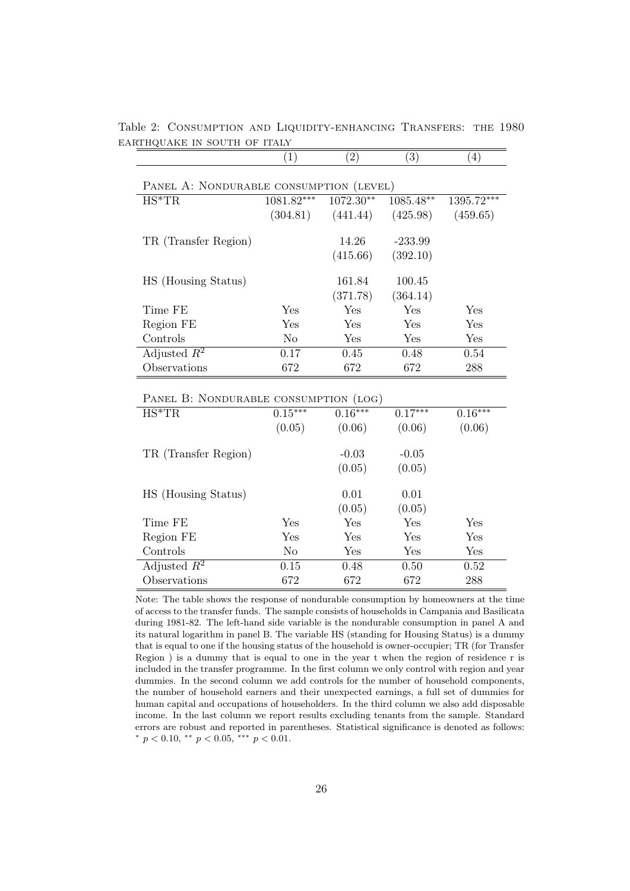|                                         | (1)        | $\left( 2\right)$  | (3)                | $\left( 4\right)$ |  |  |
|-----------------------------------------|------------|--------------------|--------------------|-------------------|--|--|
| PANEL A: NONDURABLE CONSUMPTION (LEVEL) |            |                    |                    |                   |  |  |
| $HS^*TR$                                | 1081.82*** | $1072.30**$        | 1085.48**          | 1395.72***        |  |  |
|                                         | (304.81)   | (441.44)           | (425.98)           | (459.65)          |  |  |
| TR (Transfer Region)                    |            | 14.26              | $-233.99$          |                   |  |  |
|                                         |            | (415.66)           | (392.10)           |                   |  |  |
| HS (Housing Status)                     |            | 161.84<br>(371.78) | 100.45<br>(364.14) |                   |  |  |
| Time FE                                 | Yes        | Yes                | Yes                | Yes               |  |  |
| Region FE                               | Yes        | Yes                | Yes                | Yes               |  |  |
| Controls                                | No.        | Yes                | Yes                | Yes               |  |  |
| Adjusted $R^2$                          | 0.17       | 0.45               | 0.48               | 0.54              |  |  |
| Observations                            | 672        | 672                | 672                | 288               |  |  |

Table 2: Consumption and Liquidity-enhancing Transfers: the 1980 EARTHQUAKE IN SOUTH OF ITALY

PANEL B: NONDURABLE CONSUMPTION (LOG)

| $HS^*TR$             | $0.15***$      | $0.16***$ | $0.17***$ | $0.16***$ |
|----------------------|----------------|-----------|-----------|-----------|
|                      | (0.05)         | (0.06)    | (0.06)    | (0.06)    |
|                      |                |           |           |           |
| TR (Transfer Region) |                | $-0.03$   | $-0.05$   |           |
|                      |                | (0.05)    | (0.05)    |           |
|                      |                |           |           |           |
| HS (Housing Status)  |                | 0.01      | 0.01      |           |
|                      |                | (0.05)    | (0.05)    |           |
| Time FE              | Yes            | Yes       | Yes       | Yes       |
| Region FE            | Yes            | Yes       | Yes       | Yes       |
| Controls             | N <sub>o</sub> | Yes       | Yes       | Yes       |
| Adjusted $R^2$       | 0.15           | 0.48      | 0.50      | 0.52      |
| Observations         | 672            | 672       | 672       | 288       |

Note: The table shows the response of nondurable consumption by homeowners at the time of access to the transfer funds. The sample consists of households in Campania and Basilicata during 1981-82. The left-hand side variable is the nondurable consumption in panel A and its natural logarithm in panel B. The variable HS (standing for Housing Status) is a dummy that is equal to one if the housing status of the household is owner-occupier; TR (for Transfer Region ) is a dummy that is equal to one in the year t when the region of residence r is included in the transfer programme. In the first column we only control with region and year dummies. In the second column we add controls for the number of household components, the number of household earners and their unexpected earnings, a full set of dummies for human capital and occupations of householders. In the third column we also add disposable income. In the last column we report results excluding tenants from the sample. Standard errors are robust and reported in parentheses. Statistical significance is denoted as follows: \*  $p < 0.10$ , \*\*  $p < 0.05$ , \*\*\*  $p < 0.01$ .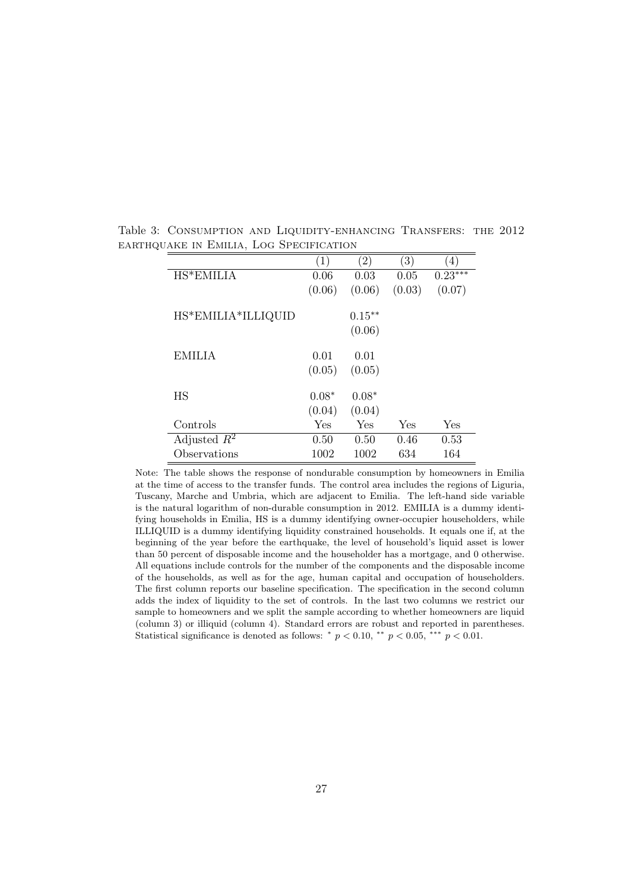|                    | $\left( 1\right)$ | $\left( 2\right)$ | $\left(3\right)$ | 4)        |
|--------------------|-------------------|-------------------|------------------|-----------|
| HS*EMILIA          | 0.06              | 0.03              | 0.05             | $0.23***$ |
|                    | (0.06)            | (0.06)            | (0.03)           | (0.07)    |
| HS*EMILIA*ILLIQUID |                   | $0.15***$         |                  |           |
|                    |                   | (0.06)            |                  |           |
| <b>EMILIA</b>      | 0.01              | 0.01              |                  |           |
|                    | (0.05)            | (0.05)            |                  |           |
| HS                 | $0.08*$           | $0.08*$           |                  |           |
|                    | (0.04)            | (0.04)            |                  |           |
| Controls           | Yes               | Yes               | Yes              | Yes       |
| Adjusted $R^2$     | 0.50              | 0.50              | 0.46             | 0.53      |
| Observations       | 1002              | 1002              | 634              | 164       |

Table 3: Consumption and Liquidity-enhancing Transfers: the 2012 earthquake in Emilia, Log Specification

Note: The table shows the response of nondurable consumption by homeowners in Emilia at the time of access to the transfer funds. The control area includes the regions of Liguria, Tuscany, Marche and Umbria, which are adjacent to Emilia. The left-hand side variable is the natural logarithm of non-durable consumption in 2012. EMILIA is a dummy identifying households in Emilia, HS is a dummy identifying owner-occupier householders, while ILLIQUID is a dummy identifying liquidity constrained households. It equals one if, at the beginning of the year before the earthquake, the level of household's liquid asset is lower than 50 percent of disposable income and the householder has a mortgage, and 0 otherwise. All equations include controls for the number of the components and the disposable income of the households, as well as for the age, human capital and occupation of householders. The first column reports our baseline specification. The specification in the second column adds the index of liquidity to the set of controls. In the last two columns we restrict our sample to homeowners and we split the sample according to whether homeowners are liquid (column 3) or illiquid (column 4). Standard errors are robust and reported in parentheses. Statistical significance is denoted as follows: \*  $p < 0.10$ , \*\*  $p < 0.05$ , \*\*\*  $p < 0.01$ .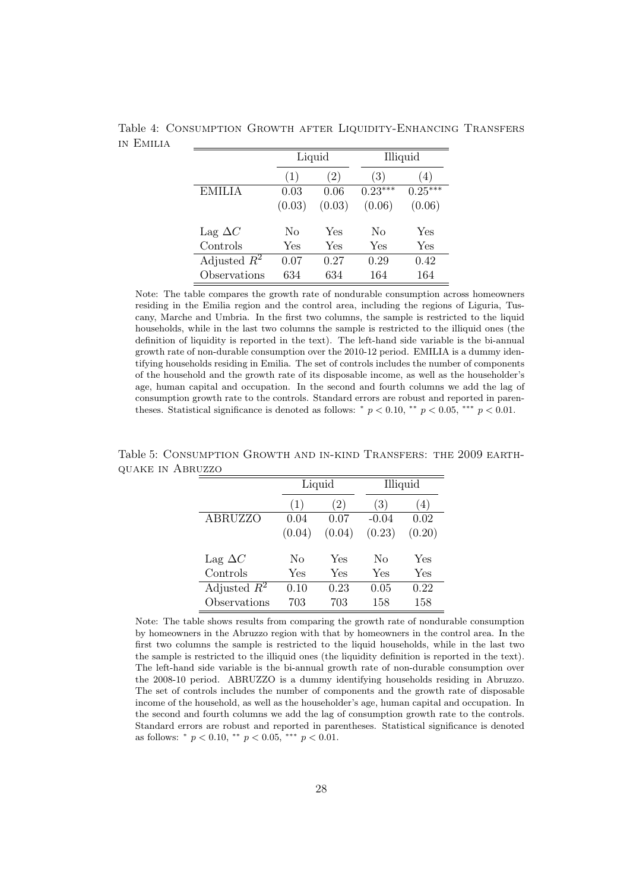|                |        | Liquid |           | Illiquid  |  |
|----------------|--------|--------|-----------|-----------|--|
|                | (1)    | (2)    | (3)       | (4)       |  |
| <b>EMILIA</b>  | 0.03   | 0.06   | $0.23***$ | $0.25***$ |  |
|                | (0.03) | (0.03) | (0.06)    | (0.06)    |  |
| Lag $\Delta C$ | No     | Yes    | No        | Yes       |  |
| Controls       | Yes    | Yes    | Yes       | Yes       |  |
| Adjusted $R^2$ | 0.07   | 0.27   | 0.29      | 0.42      |  |
| Observations   | 634    | 634    | 164       | 164       |  |

Table 4: Consumption Growth after Liquidity-Enhancing Transfers in Emilia

Note: The table compares the growth rate of nondurable consumption across homeowners residing in the Emilia region and the control area, including the regions of Liguria, Tuscany, Marche and Umbria. In the first two columns, the sample is restricted to the liquid households, while in the last two columns the sample is restricted to the illiquid ones (the definition of liquidity is reported in the text). The left-hand side variable is the bi-annual growth rate of non-durable consumption over the 2010-12 period. EMILIA is a dummy identifying households residing in Emilia. The set of controls includes the number of components of the household and the growth rate of its disposable income, as well as the householder's age, human capital and occupation. In the second and fourth columns we add the lag of consumption growth rate to the controls. Standard errors are robust and reported in parentheses. Statistical significance is denoted as follows: \*  $p < 0.10$ , \*\*  $p < 0.05$ , \*\*\*  $p < 0.01$ .

|                | Liquid |        | Illiquid |        |
|----------------|--------|--------|----------|--------|
|                | (1)    | (2)    | (3)      | (4)    |
| <b>ABRUZZO</b> | 0.04   | 0.07   | $-0.04$  | 0.02   |
|                | (0.04) | (0.04) | (0.23)   | (0.20) |
|                |        |        |          |        |
| Lag $\Delta C$ | No     | Yes    | No       | Yes    |
| Controls       | Yes    | Yes    | Yes      | Yes    |
| Adjusted $R^2$ | 0.10   | 0.23   | 0.05     | 0.22   |
| Observations   | 703    | 703    | 158      | 158    |

Table 5: Consumption Growth and in-kind Transfers: the 2009 earthquake in Abruzzo

Note: The table shows results from comparing the growth rate of nondurable consumption by homeowners in the Abruzzo region with that by homeowners in the control area. In the first two columns the sample is restricted to the liquid households, while in the last two the sample is restricted to the illiquid ones (the liquidity definition is reported in the text). The left-hand side variable is the bi-annual growth rate of non-durable consumption over the 2008-10 period. ABRUZZO is a dummy identifying households residing in Abruzzo. The set of controls includes the number of components and the growth rate of disposable income of the household, as well as the householder's age, human capital and occupation. In the second and fourth columns we add the lag of consumption growth rate to the controls. Standard errors are robust and reported in parentheses. Statistical significance is denoted as follows:  $* p < 0.10, ** p < 0.05, ** p < 0.01$ .